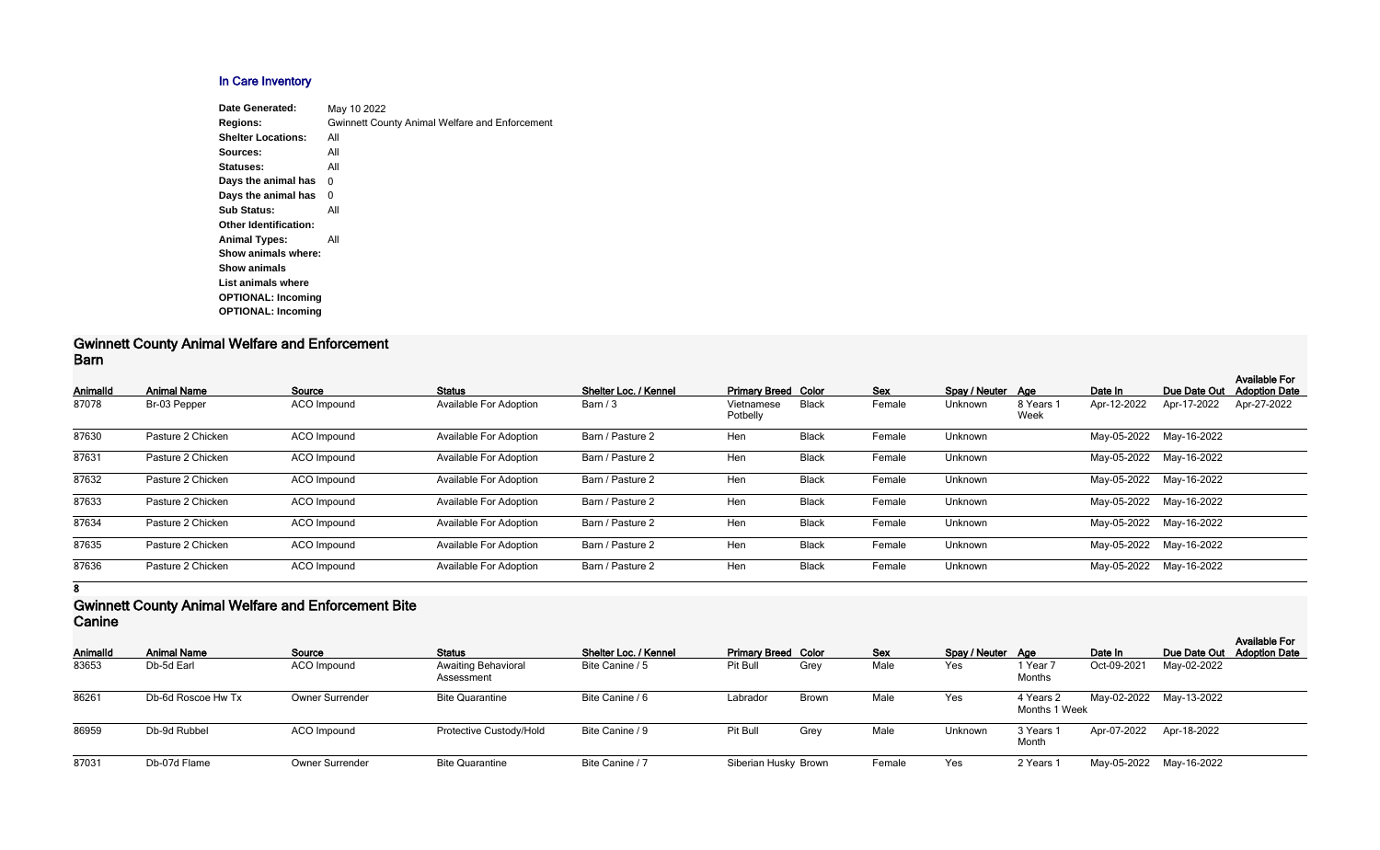# **In Care Inventory**

| Date Generated:              | May 10 2022                                           |
|------------------------------|-------------------------------------------------------|
| <b>Regions:</b>              | <b>Gwinnett County Animal Welfare and Enforcement</b> |
| <b>Shelter Locations:</b>    | All                                                   |
| Sources:                     | All                                                   |
| Statuses:                    | All                                                   |
| Days the animal has          | 0                                                     |
| Days the animal has          | 0                                                     |
| <b>Sub Status:</b>           | All                                                   |
| <b>Other Identification:</b> |                                                       |
| <b>Animal Types:</b>         | All                                                   |
| Show animals where:          |                                                       |
| <b>Show animals</b>          |                                                       |
| List animals where           |                                                       |
| <b>OPTIONAL: Incoming</b>    |                                                       |
| <b>OPTIONAL: Incoming</b>    |                                                       |
|                              |                                                       |

#### **Gwinnett County Animal Welfare and Enforcement Barn**

| <b>AnimalId</b> | <b>Animal Name</b> | Source             | <b>Status</b>                 | Shelter Loc. / Kennel | <b>Primary Breed Color</b> |              | <b>Sex</b> | Spay / Neuter Age |                   | Date In                 | Due Date Out            | <b>Available For</b><br><b>Adoption Date</b> |
|-----------------|--------------------|--------------------|-------------------------------|-----------------------|----------------------------|--------------|------------|-------------------|-------------------|-------------------------|-------------------------|----------------------------------------------|
| 87078           | Br-03 Pepper       | <b>ACO</b> Impound | <b>Available For Adoption</b> | Barn / 3              | Vietnamese<br>Potbelly     | <b>Black</b> | Female     | Unknown           | 8 Years 1<br>Week | Apr-12-2022             | Apr-17-2022             | Apr-27-2022                                  |
| 87630           | Pasture 2 Chicken  | ACO Impound        | <b>Available For Adoption</b> | Barn / Pasture 2      | Hen                        | <b>Black</b> | Female     | Unknown           |                   | May-05-2022 May-16-2022 |                         |                                              |
| 87631           | Pasture 2 Chicken  | ACO Impound        | <b>Available For Adoption</b> | Barn / Pasture 2      | Hen                        | <b>Black</b> | Female     | Unknown           |                   | May-05-2022             | May-16-2022             |                                              |
| 87632           | Pasture 2 Chicken  | ACO Impound        | <b>Available For Adoption</b> | Barn / Pasture 2      | Hen                        | <b>Black</b> | Female     | Unknown           |                   |                         | May-05-2022 May-16-2022 |                                              |
| 87633           | Pasture 2 Chicken  | ACO Impound        | <b>Available For Adoption</b> | Barn / Pasture 2      | Hen                        | <b>Black</b> | Female     | Unknown           |                   |                         | May-05-2022 May-16-2022 |                                              |
| 87634           | Pasture 2 Chicken  | ACO Impound        | <b>Available For Adoption</b> | Barn / Pasture 2      | Hen                        | <b>Black</b> | Female     | Unknown           |                   | May-05-2022             | May-16-2022             |                                              |
| 87635           | Pasture 2 Chicken  | ACO Impound        | <b>Available For Adoption</b> | Barn / Pasture 2      | Hen                        | <b>Black</b> | Female     | Unknown           |                   | May-05-2022             | May-16-2022             |                                              |
| 87636           | Pasture 2 Chicken  | ACO Impound        | <b>Available For Adoption</b> | Barn / Pasture 2      | Hen                        | <b>Black</b> | Female     | Unknown           |                   | May-05-2022             | May-16-2022             |                                              |

**8**

### **Gwinnett County Animal Welfare and Enforcement Bite Canine**

| <b>AnimalId</b> | <b>Animal Name</b> | Source                 | <b>Status</b>                            | Shelter Loc. / Kennel | <b>Primary Breed Color</b> |              | <b>Sex</b> | Spay / Neuter Age |                            | Date In     |                         | <b>Available For</b><br>Due Date Out Adoption Date |
|-----------------|--------------------|------------------------|------------------------------------------|-----------------------|----------------------------|--------------|------------|-------------------|----------------------------|-------------|-------------------------|----------------------------------------------------|
| 83653           | Db-5d Earl         | ACO Impound            | <b>Awaiting Behavioral</b><br>Assessment | Bite Canine / 5       | Pit Bull                   | Grey         | Male       | Yes               | 1 Year 7<br>Months         | Oct-09-2021 | May-02-2022             |                                                    |
| 86261           | Db-6d Roscoe Hw Tx | <b>Owner Surrender</b> | <b>Bite Quarantine</b>                   | Bite Canine / 6       | Labrador                   | <b>Brown</b> | Male       | Yes               | 4 Years 2<br>Months 1 Week |             | May-02-2022 May-13-2022 |                                                    |
| 86959           | Db-9d Rubbel       | ACO Impound            | Protective Custody/Hold                  | Bite Canine / 9       | Pit Bull                   | Grey         | Male       | Unknown           | 3 Years 1<br>Month         |             | Apr-07-2022 Apr-18-2022 |                                                    |
| 87031           | Db-07d Flame       | <b>Owner Surrender</b> | <b>Bite Quarantine</b>                   | Bite Canine / 7       | Siberian Husky Brown       |              | Female     | Yes               | 2 Years 1                  |             | May-05-2022 May-16-2022 |                                                    |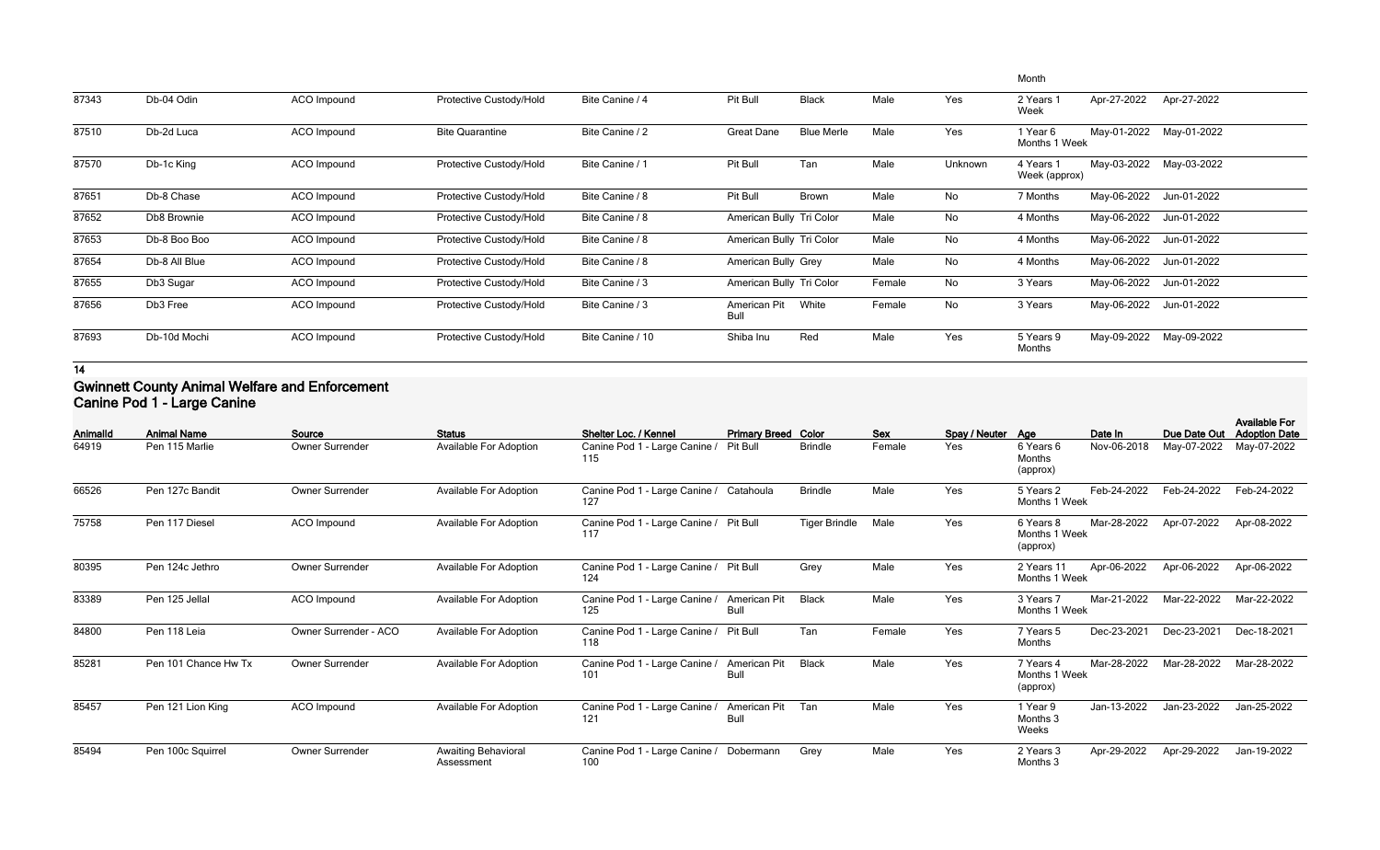|       |               |             |                         |                  |                          |                   |        |         | Month                      |             |                         |
|-------|---------------|-------------|-------------------------|------------------|--------------------------|-------------------|--------|---------|----------------------------|-------------|-------------------------|
| 87343 | Db-04 Odin    | ACO Impound | Protective Custody/Hold | Bite Canine / 4  | Pit Bull                 | <b>Black</b>      | Male   | Yes     | 2 Years 1<br>Week          | Apr-27-2022 | Apr-27-2022             |
| 87510 | Db-2d Luca    | ACO Impound | <b>Bite Quarantine</b>  | Bite Canine / 2  | <b>Great Dane</b>        | <b>Blue Merle</b> | Male   | Yes     | 1 Year 6<br>Months 1 Week  |             | May-01-2022 May-01-2022 |
| 87570 | Db-1c King    | ACO Impound | Protective Custody/Hold | Bite Canine / 1  | Pit Bull                 | Tan               | Male   | Unknown | 4 Years 1<br>Week (approx) | May-03-2022 | May-03-2022             |
| 87651 | Db-8 Chase    | ACO Impound | Protective Custody/Hold | Bite Canine / 8  | Pit Bull                 | Brown             | Male   | No      | 7 Months                   | May-06-2022 | Jun-01-2022             |
| 87652 | Db8 Brownie   | ACO Impound | Protective Custody/Hold | Bite Canine / 8  | American Bully Tri Color |                   | Male   | No      | 4 Months                   | May-06-2022 | Jun-01-2022             |
| 87653 | Db-8 Boo Boo  | ACO Impound | Protective Custody/Hold | Bite Canine / 8  | American Bully Tri Color |                   | Male   | No      | 4 Months                   |             | May-06-2022 Jun-01-2022 |
| 87654 | Db-8 All Blue | ACO Impound | Protective Custody/Hold | Bite Canine / 8  | American Bully Grey      |                   | Male   | No      | 4 Months                   | May-06-2022 | Jun-01-2022             |
| 87655 | Db3 Sugar     | ACO Impound | Protective Custody/Hold | Bite Canine / 3  | American Bully Tri Color |                   | Female | No      | 3 Years                    |             | May-06-2022 Jun-01-2022 |
| 87656 | Db3 Free      | ACO Impound | Protective Custody/Hold | Bite Canine / 3  | American Pit<br>Bull     | White             | Female | No      | 3 Years                    | May-06-2022 | Jun-01-2022             |
| 87693 | Db-10d Mochi  | ACO Impound | Protective Custody/Hold | Bite Canine / 10 | Shiba Inu                | Red               | Male   | Yes     | 5 Years 9<br>Months        | May-09-2022 | May-09-2022             |

### **Gwinnett County Animal Welfare and Enforcement Canine Pod 1 - Large Canine**

| Animalld | <b>Animal Name</b>   | Source                 | <b>Status</b>                            | Shelter Loc. / Kennel                          | <b>Primary Breed Color</b>  |                      | <b>Sex</b> | Spay / Neuter Age |                                        | Date In     | Due Date Out | <b>Available For</b><br><b>Adoption Date</b> |
|----------|----------------------|------------------------|------------------------------------------|------------------------------------------------|-----------------------------|----------------------|------------|-------------------|----------------------------------------|-------------|--------------|----------------------------------------------|
| 64919    | Pen 115 Marlie       | <b>Owner Surrender</b> | <b>Available For Adoption</b>            | Canine Pod 1 - Large Canine /<br>115           | Pit Bull                    | <b>Brindle</b>       | Female     | Yes               | 6 Years 6<br>Months<br>(approx)        | Nov-06-2018 | May-07-2022  | May-07-2022                                  |
| 66526    | Pen 127c Bandit      | <b>Owner Surrender</b> | <b>Available For Adoption</b>            | Canine Pod 1 - Large Canine / Catahoula<br>127 |                             | <b>Brindle</b>       | Male       | Yes               | 5 Years 2<br>Months 1 Week             | Feb-24-2022 | Feb-24-2022  | Feb-24-2022                                  |
| 75758    | Pen 117 Diesel       | ACO Impound            | <b>Available For Adoption</b>            | Canine Pod 1 - Large Canine /<br>117           | <b>Pit Bull</b>             | <b>Tiger Brindle</b> | Male       | Yes               | 6 Years 8<br>Months 1 Week<br>(approx) | Mar-28-2022 | Apr-07-2022  | Apr-08-2022                                  |
| 80395    | Pen 124c Jethro      | <b>Owner Surrender</b> | <b>Available For Adoption</b>            | Canine Pod 1 - Large Canine /<br>124           | <b>Pit Bull</b>             | Grey                 | Male       | Yes               | 2 Years 11<br>Months 1 Week            | Apr-06-2022 | Apr-06-2022  | Apr-06-2022                                  |
| 83389    | Pen 125 Jellal       | ACO Impound            | <b>Available For Adoption</b>            | Canine Pod 1 - Large Canine /<br>125           | American Pit<br><b>Bull</b> | <b>Black</b>         | Male       | Yes               | 3 Years 7<br>Months 1 Week             | Mar-21-2022 | Mar-22-2022  | Mar-22-2022                                  |
| 84800    | Pen 118 Leia         | Owner Surrender - ACO  | <b>Available For Adoption</b>            | Canine Pod 1 - Large Canine /<br>118           | <b>Pit Bull</b>             | Tan                  | Female     | Yes               | 7 Years 5<br>Months                    | Dec-23-2021 | Dec-23-2021  | Dec-18-2021                                  |
| 85281    | Pen 101 Chance Hw Tx | Owner Surrender        | <b>Available For Adoption</b>            | Canine Pod 1 - Large Canine /<br>101           | American Pit<br><b>Bull</b> | <b>Black</b>         | Male       | Yes               | 7 Years 4<br>Months 1 Week<br>(approx) | Mar-28-2022 | Mar-28-2022  | Mar-28-2022                                  |
| 85457    | Pen 121 Lion King    | <b>ACO</b> Impound     | <b>Available For Adoption</b>            | Canine Pod 1 - Large Canine /<br>121           | American Pit<br><b>Bull</b> | Tan                  | Male       | Yes               | 1 Year 9<br>Months 3<br>Weeks          | Jan-13-2022 | Jan-23-2022  | Jan-25-2022                                  |
| 85494    | Pen 100c Squirrel    | <b>Owner Surrender</b> | <b>Awaiting Behavioral</b><br>Assessment | Canine Pod 1 - Large Canine /<br>100           | Dobermann                   | Grey                 | Male       | Yes               | 2 Years 3<br>Months 3                  | Apr-29-2022 | Apr-29-2022  | Jan-19-2022                                  |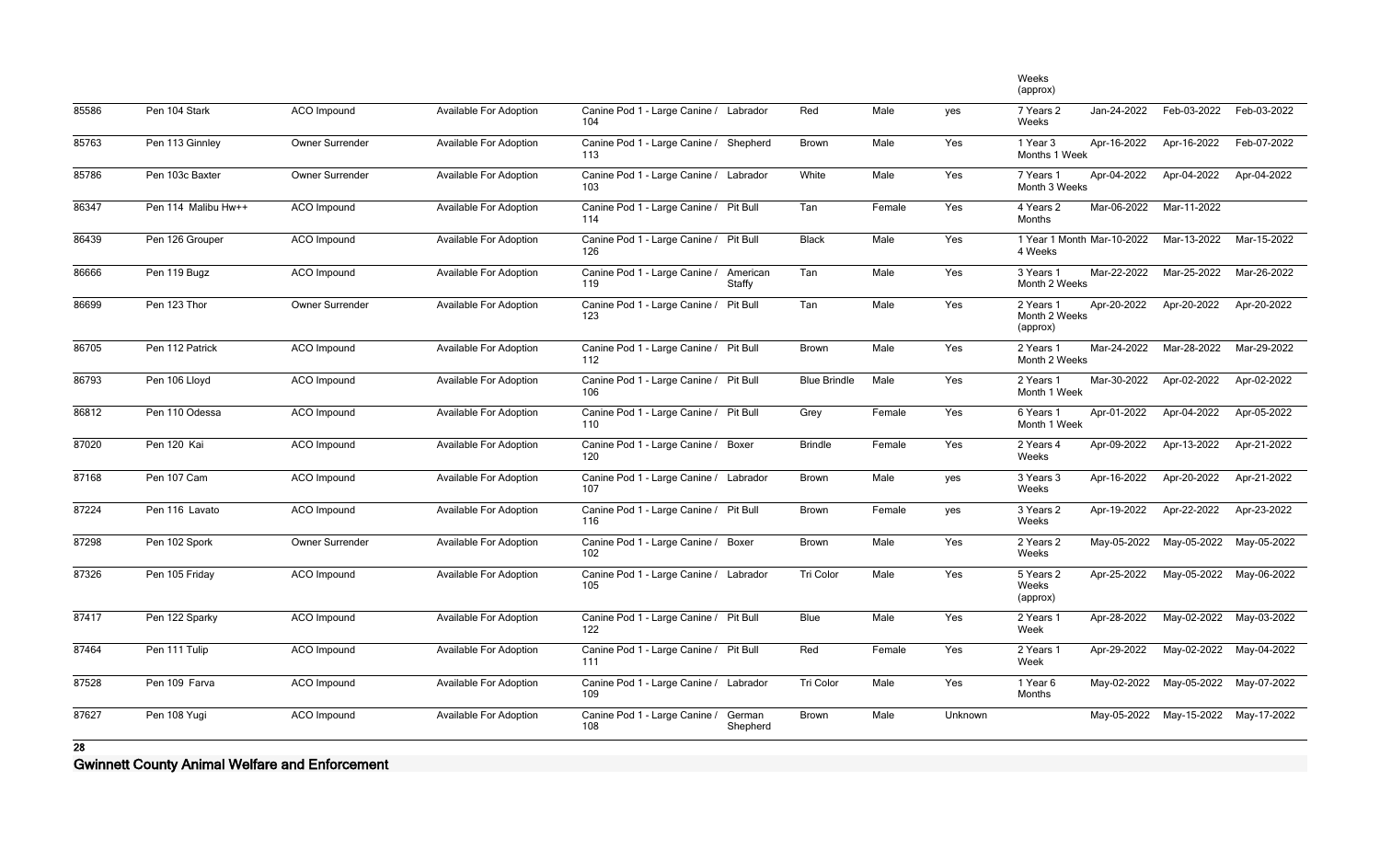|       |                     |                        |                               |                                               |                           |                     |        |         | Weeks<br>(approx)                      |             |                         |             |
|-------|---------------------|------------------------|-------------------------------|-----------------------------------------------|---------------------------|---------------------|--------|---------|----------------------------------------|-------------|-------------------------|-------------|
| 85586 | Pen 104 Stark       | ACO Impound            | Available For Adoption        | Canine Pod 1 - Large Canine / Labrador<br>104 |                           | Red                 | Male   | yes     | 7 Years 2<br>Weeks                     | Jan-24-2022 | Feb-03-2022             | Feb-03-2022 |
| 85763 | Pen 113 Ginnley     | Owner Surrender        | Available For Adoption        | Canine Pod 1 - Large Canine / Shepherd<br>113 |                           | <b>Brown</b>        | Male   | Yes     | 1 Year 3<br>Months 1 Week              | Apr-16-2022 | Apr-16-2022             | Feb-07-2022 |
| 85786 | Pen 103c Baxter     | Owner Surrender        | Available For Adoption        | Canine Pod 1 - Large Canine / Labrador<br>103 |                           | White               | Male   | Yes     | 7 Years 1<br>Month 3 Weeks             | Apr-04-2022 | Apr-04-2022             | Apr-04-2022 |
| 86347 | Pen 114 Malibu Hw++ | ACO Impound            | <b>Available For Adoption</b> | Canine Pod 1 - Large Canine / Pit Bull<br>114 |                           | Tan                 | Female | Yes     | 4 Years 2<br>Months                    | Mar-06-2022 | Mar-11-2022             |             |
| 86439 | Pen 126 Grouper     | ACO Impound            | Available For Adoption        | Canine Pod 1 - Large Canine / Pit Bull<br>126 |                           | <b>Black</b>        | Male   | Yes     | 1 Year 1 Month Mar-10-2022<br>4 Weeks  |             | Mar-13-2022             | Mar-15-2022 |
| 86666 | Pen 119 Bugz        | ACO Impound            | Available For Adoption        | Canine Pod 1 - Large Canine /<br>119          | American<br><b>Staffy</b> | Tan                 | Male   | Yes     | 3 Years 1<br>Month 2 Weeks             | Mar-22-2022 | Mar-25-2022             | Mar-26-2022 |
| 86699 | Pen 123 Thor        | <b>Owner Surrender</b> | <b>Available For Adoption</b> | Canine Pod 1 - Large Canine /<br>123          | <b>Pit Bull</b>           | Tan                 | Male   | Yes     | 2 Years 1<br>Month 2 Weeks<br>(approx) | Apr-20-2022 | Apr-20-2022             | Apr-20-2022 |
| 86705 | Pen 112 Patrick     | ACO Impound            | Available For Adoption        | Canine Pod 1 - Large Canine / Pit Bull<br>112 |                           | <b>Brown</b>        | Male   | Yes     | 2 Years 1<br>Month 2 Weeks             | Mar-24-2022 | Mar-28-2022             | Mar-29-2022 |
| 86793 | Pen 106 Lloyd       | ACO Impound            | Available For Adoption        | Canine Pod 1 - Large Canine / Pit Bull<br>106 |                           | <b>Blue Brindle</b> | Male   | Yes     | 2 Years 1<br>Month 1 Week              | Mar-30-2022 | Apr-02-2022             | Apr-02-2022 |
| 86812 | Pen 110 Odessa      | ACO Impound            | <b>Available For Adoption</b> | Canine Pod 1 - Large Canine / Pit Bull<br>110 |                           | Grey                | Female | Yes     | 6 Years 1<br>Month 1 Week              | Apr-01-2022 | Apr-04-2022             | Apr-05-2022 |
| 87020 | Pen 120 Kai         | ACO Impound            | Available For Adoption        | Canine Pod 1 - Large Canine / Boxer<br>120    |                           | <b>Brindle</b>      | Female | Yes     | 2 Years 4<br>Weeks                     | Apr-09-2022 | Apr-13-2022             | Apr-21-2022 |
| 87168 | Pen 107 Cam         | ACO Impound            | Available For Adoption        | Canine Pod 1 - Large Canine / Labrador<br>107 |                           | Brown               | Male   | yes     | 3 Years 3<br>Weeks                     | Apr-16-2022 | Apr-20-2022             | Apr-21-2022 |
| 87224 | Pen 116 Lavato      | ACO Impound            | <b>Available For Adoption</b> | Canine Pod 1 - Large Canine / Pit Bull<br>116 |                           | <b>Brown</b>        | Female | yes     | 3 Years 2<br>Weeks                     | Apr-19-2022 | Apr-22-2022             | Apr-23-2022 |
| 87298 | Pen 102 Spork       | Owner Surrender        | <b>Available For Adoption</b> | Canine Pod 1 - Large Canine / Boxer<br>102    |                           | <b>Brown</b>        | Male   | Yes     | 2 Years 2<br>Weeks                     | May-05-2022 | May-05-2022             | May-05-2022 |
| 87326 | Pen 105 Friday      | ACO Impound            | <b>Available For Adoption</b> | Canine Pod 1 - Large Canine / Labrador<br>105 |                           | Tri Color           | Male   | Yes     | 5 Years 2<br>Weeks<br>(approx)         | Apr-25-2022 | May-05-2022             | May-06-2022 |
| 87417 | Pen 122 Sparky      | ACO Impound            | <b>Available For Adoption</b> | Canine Pod 1 - Large Canine / Pit Bull<br>122 |                           | Blue                | Male   | Yes     | 2 Years 1<br>Week                      | Apr-28-2022 | May-02-2022             | May-03-2022 |
| 87464 | Pen 111 Tulip       | ACO Impound            | Available For Adoption        | Canine Pod 1 - Large Canine / Pit Bull<br>111 |                           | Red                 | Female | Yes     | 2 Years 1<br>Week                      | Apr-29-2022 | May-02-2022             | May-04-2022 |
| 87528 | Pen 109 Farva       | ACO Impound            | <b>Available For Adoption</b> | Canine Pod 1 - Large Canine / Labrador<br>109 |                           | Tri Color           | Male   | Yes     | 1 Year 6<br>Months                     |             | May-02-2022 May-05-2022 | May-07-2022 |
| 87627 | Pen 108 Yugi        | ACO Impound            | <b>Available For Adoption</b> | Canine Pod 1 - Large Canine /<br>108          | German<br>Shepherd        | Brown               | Male   | Unknown |                                        |             | May-05-2022 May-15-2022 | May-17-2022 |

**Gwinnett County Animal Welfare and Enforcement**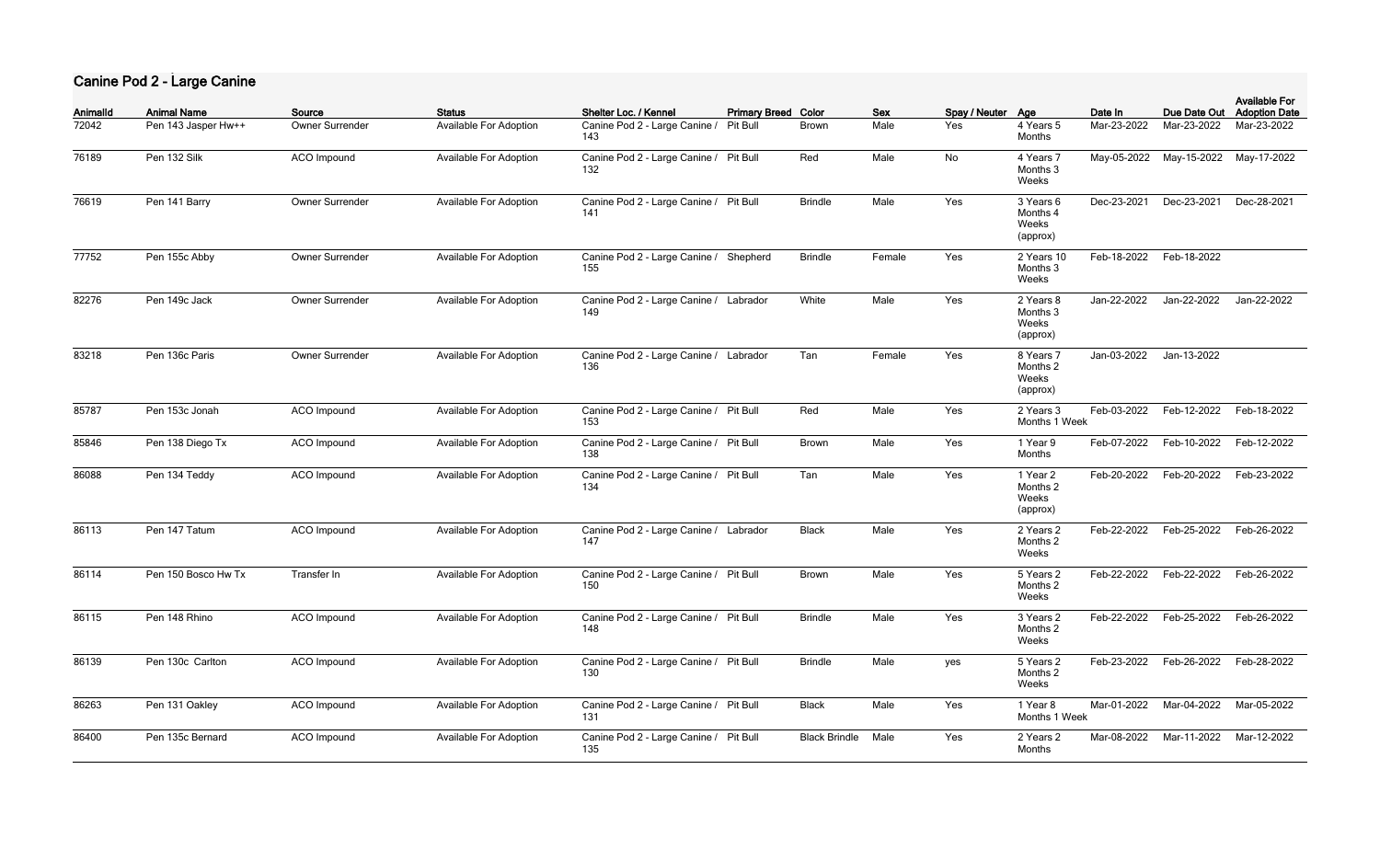### **Canine Pod 2 - Large Canine**

| AnimalId | <b>Animal Name</b>  | Source                 | <b>Status</b>                 | Shelter Loc. / Kennel                         | <b>Primary Breed Color</b> |                      | <b>Sex</b> | Spay / Neuter Age |                                            | Date In     | Due Date Out                        | <b>Available For</b><br><b>Adoption Date</b> |
|----------|---------------------|------------------------|-------------------------------|-----------------------------------------------|----------------------------|----------------------|------------|-------------------|--------------------------------------------|-------------|-------------------------------------|----------------------------------------------|
| 72042    | Pen 143 Jasper Hw++ | <b>Owner Surrender</b> | Available For Adoption        | Canine Pod 2 - Large Canine /<br>143          | Pit Bull                   | Brown                | Male       | Yes               | 4 Years 5<br>Months                        | Mar-23-2022 | Mar-23-2022                         | Mar-23-2022                                  |
| 76189    | Pen 132 Silk        | ACO Impound            | Available For Adoption        | Canine Pod 2 - Large Canine / Pit Bull<br>132 |                            | Red                  | Male       | No                | 4 Years 7<br>Months 3<br>Weeks             |             | May-05-2022 May-15-2022 May-17-2022 |                                              |
| 76619    | Pen 141 Barry       | Owner Surrender        | <b>Available For Adoption</b> | Canine Pod 2 - Large Canine / Pit Bull<br>141 |                            | <b>Brindle</b>       | Male       | Yes               | 3 Years 6<br>Months 4<br>Weeks<br>(approx) | Dec-23-2021 | Dec-23-2021                         | Dec-28-2021                                  |
| 77752    | Pen 155c Abby       | Owner Surrender        | Available For Adoption        | Canine Pod 2 - Large Canine / Shepherd<br>155 |                            | <b>Brindle</b>       | Female     | Yes               | 2 Years 10<br>Months 3<br>Weeks            | Feb-18-2022 | Feb-18-2022                         |                                              |
| 82276    | Pen 149c Jack       | Owner Surrender        | Available For Adoption        | Canine Pod 2 - Large Canine / Labrador<br>149 |                            | White                | Male       | Yes               | 2 Years 8<br>Months 3<br>Weeks<br>(approx) | Jan-22-2022 | Jan-22-2022                         | Jan-22-2022                                  |
| 83218    | Pen 136c Paris      | Owner Surrender        | Available For Adoption        | Canine Pod 2 - Large Canine / Labrador<br>136 |                            | Tan                  | Female     | Yes               | 8 Years 7<br>Months 2<br>Weeks<br>(approx) | Jan-03-2022 | Jan-13-2022                         |                                              |
| 85787    | Pen 153c Jonah      | ACO Impound            | Available For Adoption        | Canine Pod 2 - Large Canine / Pit Bull<br>153 |                            | Red                  | Male       | Yes               | 2 Years 3<br>Months 1 Week                 | Feb-03-2022 | Feb-12-2022                         | Feb-18-2022                                  |
| 85846    | Pen 138 Diego Tx    | ACO Impound            | Available For Adoption        | Canine Pod 2 - Large Canine / Pit Bull<br>138 |                            | Brown                | Male       | Yes               | 1 Year 9<br>Months                         | Feb-07-2022 | Feb-10-2022                         | Feb-12-2022                                  |
| 86088    | Pen 134 Teddy       | ACO Impound            | Available For Adoption        | Canine Pod 2 - Large Canine / Pit Bull<br>134 |                            | Tan                  | Male       | Yes               | 1 Year 2<br>Months 2<br>Weeks<br>(approx)  | Feb-20-2022 | Feb-20-2022                         | Feb-23-2022                                  |
| 86113    | Pen 147 Tatum       | ACO Impound            | Available For Adoption        | Canine Pod 2 - Large Canine / Labrador<br>147 |                            | <b>Black</b>         | Male       | Yes               | 2 Years 2<br>Months 2<br>Weeks             | Feb-22-2022 | Feb-25-2022                         | Feb-26-2022                                  |
| 86114    | Pen 150 Bosco Hw Tx | Transfer In            | <b>Available For Adoption</b> | Canine Pod 2 - Large Canine / Pit Bull<br>150 |                            | <b>Brown</b>         | Male       | Yes               | 5 Years 2<br>Months 2<br>Weeks             | Feb-22-2022 | Feb-22-2022                         | Feb-26-2022                                  |
| 86115    | Pen 148 Rhino       | ACO Impound            | Available For Adoption        | Canine Pod 2 - Large Canine / Pit Bull<br>148 |                            | <b>Brindle</b>       | Male       | Yes               | 3 Years 2<br>Months 2<br>Weeks             | Feb-22-2022 | Feb-25-2022                         | Feb-26-2022                                  |
| 86139    | Pen 130c Carlton    | ACO Impound            | <b>Available For Adoption</b> | Canine Pod 2 - Large Canine / Pit Bull<br>130 |                            | <b>Brindle</b>       | Male       | yes               | 5 Years 2<br>Months 2<br>Weeks             | Feb-23-2022 | Feb-26-2022                         | Feb-28-2022                                  |
| 86263    | Pen 131 Oakley      | ACO Impound            | <b>Available For Adoption</b> | Canine Pod 2 - Large Canine / Pit Bull<br>131 |                            | <b>Black</b>         | Male       | Yes               | 1 Year 8<br>Months 1 Week                  | Mar-01-2022 | Mar-04-2022                         | Mar-05-2022                                  |
| 86400    | Pen 135c Bernard    | ACO Impound            | Available For Adoption        | Canine Pod 2 - Large Canine / Pit Bull<br>135 |                            | <b>Black Brindle</b> | Male       | Yes               | 2 Years 2<br>Months                        | Mar-08-2022 | Mar-11-2022                         | Mar-12-2022                                  |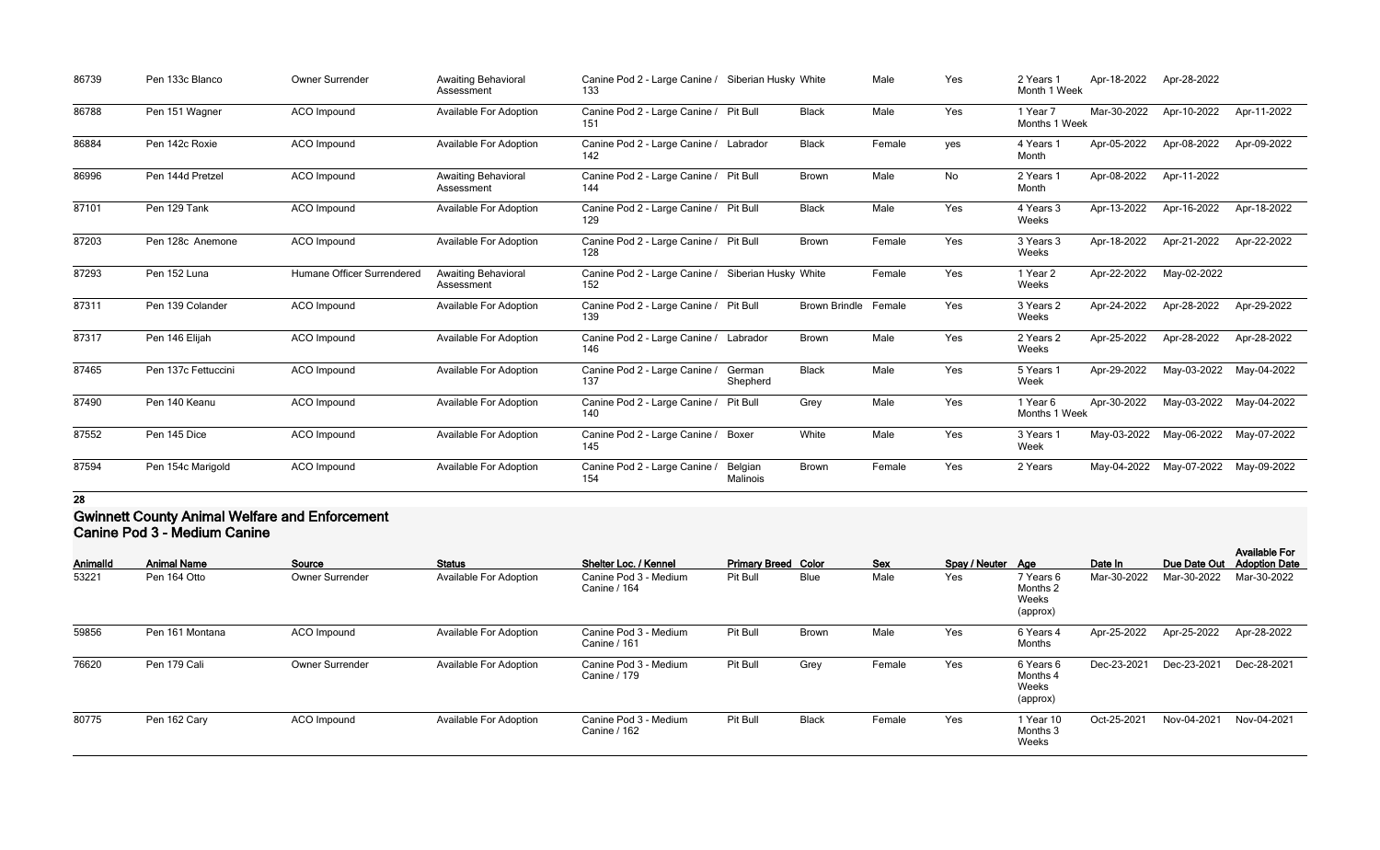| 86739 | Pen 133c Blanco     | Owner Surrender            | <b>Awaiting Behavioral</b><br>Assessment | Canine Pod 2 - Large Canine / Siberian Husky White<br>133 |                     |                             | Male   | Yes | 2 Years 1<br>Month 1 Week | Apr-18-2022 | Apr-28-2022 |             |
|-------|---------------------|----------------------------|------------------------------------------|-----------------------------------------------------------|---------------------|-----------------------------|--------|-----|---------------------------|-------------|-------------|-------------|
| 86788 | Pen 151 Wagner      | <b>ACO</b> Impound         | <b>Available For Adoption</b>            | Canine Pod 2 - Large Canine / Pit Bull<br>151             |                     | <b>Black</b>                | Male   | Yes | 1 Year 7<br>Months 1 Week | Mar-30-2022 | Apr-10-2022 | Apr-11-2022 |
| 86884 | Pen 142c Roxie      | ACO Impound                | <b>Available For Adoption</b>            | Canine Pod 2 - Large Canine / Labrador<br>142             |                     | <b>Black</b>                | Female | yes | 4 Years 1<br>Month        | Apr-05-2022 | Apr-08-2022 | Apr-09-2022 |
| 86996 | Pen 144d Pretzel    | ACO Impound                | <b>Awaiting Behavioral</b><br>Assessment | Canine Pod 2 - Large Canine / Pit Bull<br>144             |                     | Brown                       | Male   | No  | 2 Years 1<br>Month        | Apr-08-2022 | Apr-11-2022 |             |
| 87101 | Pen 129 Tank        | <b>ACO</b> Impound         | <b>Available For Adoption</b>            | Canine Pod 2 - Large Canine / Pit Bull<br>129             |                     | <b>Black</b>                | Male   | Yes | 4 Years 3<br>Weeks        | Apr-13-2022 | Apr-16-2022 | Apr-18-2022 |
| 87203 | Pen 128c Anemone    | <b>ACO</b> Impound         | <b>Available For Adoption</b>            | Canine Pod 2 - Large Canine / Pit Bull<br>128             |                     | Brown                       | Female | Yes | 3 Years 3<br>Weeks        | Apr-18-2022 | Apr-21-2022 | Apr-22-2022 |
| 87293 | Pen 152 Luna        | Humane Officer Surrendered | Awaiting Behavioral<br>Assessment        | Canine Pod 2 - Large Canine / Siberian Husky White<br>152 |                     |                             | Female | Yes | 1 Year 2<br>Weeks         | Apr-22-2022 | May-02-2022 |             |
| 87311 | Pen 139 Colander    | ACO Impound                | <b>Available For Adoption</b>            | Canine Pod 2 - Large Canine / Pit Bull<br>139             |                     | <b>Brown Brindle Female</b> |        | Yes | 3 Years 2<br>Weeks        | Apr-24-2022 | Apr-28-2022 | Apr-29-2022 |
| 87317 | Pen 146 Elijah      | ACO Impound                | <b>Available For Adoption</b>            | Canine Pod 2 - Large Canine / Labrador<br>146             |                     | Brown                       | Male   | Yes | 2 Years 2<br>Weeks        | Apr-25-2022 | Apr-28-2022 | Apr-28-2022 |
| 87465 | Pen 137c Fettuccini | ACO Impound                | <b>Available For Adoption</b>            | Canine Pod 2 - Large Canine /<br>137                      | German<br>Shepherd  | <b>Black</b>                | Male   | Yes | 5 Years 1<br>Week         | Apr-29-2022 | May-03-2022 | May-04-2022 |
| 87490 | Pen 140 Keanu       | ACO Impound                | <b>Available For Adoption</b>            | Canine Pod 2 - Large Canine /<br>140                      | <b>Pit Bull</b>     | Grey                        | Male   | Yes | 1 Year 6<br>Months 1 Week | Apr-30-2022 | May-03-2022 | May-04-2022 |
| 87552 | Pen 145 Dice        | ACO Impound                | <b>Available For Adoption</b>            | Canine Pod 2 - Large Canine /<br>145                      | Boxer               | White                       | Male   | Yes | 3 Years 1<br>Week         | May-03-2022 | May-06-2022 | May-07-2022 |
| 87594 | Pen 154c Marigold   | <b>ACO</b> Impound         | <b>Available For Adoption</b>            | Canine Pod 2 - Large Canine /<br>154                      | Belgian<br>Malinois | <b>Brown</b>                | Female | Yes | 2 Years                   | May-04-2022 | May-07-2022 | May-09-2022 |

### **Gwinnett County Animal Welfare and Enforcement Canine Pod 3 - Medium Canine**

| Animalld | <b>Animal Name</b> | Source                 | <b>Status</b>                 | Shelter Loc. / Kennel                 | <b>Primary Breed Color</b> |              | Sex    | Spay / Neuter Age |                                            | Date In     | Due Date Out | <b>Available For</b><br><b>Adoption Date</b> |
|----------|--------------------|------------------------|-------------------------------|---------------------------------------|----------------------------|--------------|--------|-------------------|--------------------------------------------|-------------|--------------|----------------------------------------------|
| 53221    | Pen 164 Otto       | <b>Owner Surrender</b> | <b>Available For Adoption</b> | Canine Pod 3 - Medium<br>Canine / 164 | Pit Bull                   | <b>Blue</b>  | Male   | Yes               | 7 Years 6<br>Months 2<br>Weeks<br>(approx) | Mar-30-2022 | Mar-30-2022  | Mar-30-2022                                  |
| 59856    | Pen 161 Montana    | ACO Impound            | <b>Available For Adoption</b> | Canine Pod 3 - Medium<br>Canine / 161 | Pit Bull                   | <b>Brown</b> | Male   | Yes               | 6 Years 4<br>Months                        | Apr-25-2022 | Apr-25-2022  | Apr-28-2022                                  |
| 76620    | Pen 179 Cali       | <b>Owner Surrender</b> | <b>Available For Adoption</b> | Canine Pod 3 - Medium<br>Canine / 179 | Pit Bull                   | Grey         | Female | Yes               | 6 Years 6<br>Months 4<br>Weeks<br>(approx) | Dec-23-2021 | Dec-23-2021  | Dec-28-2021                                  |
| 80775    | Pen 162 Cary       | ACO Impound            | <b>Available For Adoption</b> | Canine Pod 3 - Medium<br>Canine / 162 | Pit Bull                   | <b>Black</b> | Female | Yes               | 1 Year 10<br>Months 3<br>Weeks             | Oct-25-2021 | Nov-04-2021  | Nov-04-2021                                  |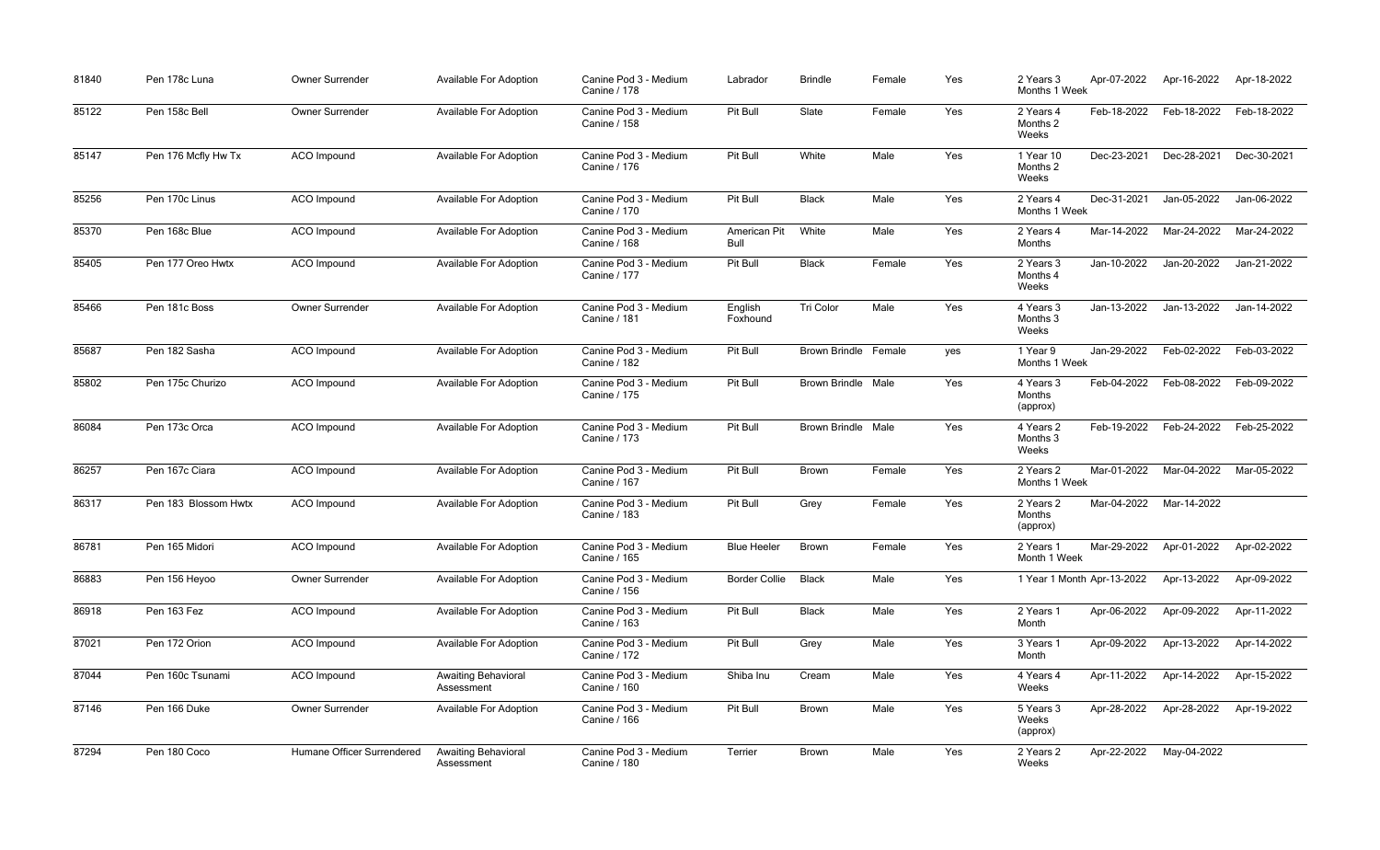| 81840 | Pen 178c Luna        | Owner Surrender            | Available For Adoption                   | Canine Pod 3 - Medium<br>Canine / 178        | Labrador             | <b>Brindle</b>              | Female | Yes | Apr-07-2022<br>2 Years 3<br>Months 1 Week      |             | Apr-16-2022 | Apr-18-2022 |
|-------|----------------------|----------------------------|------------------------------------------|----------------------------------------------|----------------------|-----------------------------|--------|-----|------------------------------------------------|-------------|-------------|-------------|
| 85122 | Pen 158c Bell        | <b>Owner Surrender</b>     | <b>Available For Adoption</b>            | Canine Pod 3 - Medium<br>Canine / 158        | Pit Bull             | Slate                       | Female | Yes | Feb-18-2022<br>2 Years 4<br>Months 2<br>Weeks  |             | Feb-18-2022 | Feb-18-2022 |
| 85147 | Pen 176 Mcfly Hw Tx  | ACO Impound                | <b>Available For Adoption</b>            | Canine Pod 3 - Medium<br>Canine / 176        | Pit Bull             | White                       | Male   | Yes | Dec-23-2021<br>1 Year 10<br>Months 2<br>Weeks  |             | Dec-28-2021 | Dec-30-2021 |
| 85256 | Pen 170c Linus       | <b>ACO</b> Impound         | <b>Available For Adoption</b>            | Canine Pod 3 - Medium<br><b>Canine / 170</b> | Pit Bull             | <b>Black</b>                | Male   | Yes | Dec-31-2021<br>2 Years 4<br>Months 1 Week      |             | Jan-05-2022 | Jan-06-2022 |
| 85370 | Pen 168c Blue        | <b>ACO</b> Impound         | <b>Available For Adoption</b>            | Canine Pod 3 - Medium<br><b>Canine / 168</b> | American Pit<br>Bull | White                       | Male   | Yes | 2 Years 4<br>Months                            | Mar-14-2022 | Mar-24-2022 | Mar-24-2022 |
| 85405 | Pen 177 Oreo Hwtx    | <b>ACO</b> Impound         | <b>Available For Adoption</b>            | Canine Pod 3 - Medium<br>Canine / 177        | Pit Bull             | <b>Black</b>                | Female | Yes | Jan-10-2022<br>2 Years 3<br>Months 4<br>Weeks  |             | Jan-20-2022 | Jan-21-2022 |
| 85466 | Pen 181c Boss        | Owner Surrender            | <b>Available For Adoption</b>            | Canine Pod 3 - Medium<br><b>Canine / 181</b> | English<br>Foxhound  | Tri Color                   | Male   | Yes | Jan-13-2022<br>4 Years 3<br>Months 3<br>Weeks  |             | Jan-13-2022 | Jan-14-2022 |
| 85687 | Pen 182 Sasha        | ACO Impound                | <b>Available For Adoption</b>            | Canine Pod 3 - Medium<br>Canine / 182        | Pit Bull             | <b>Brown Brindle Female</b> |        | yes | Jan-29-2022<br>1 Year 9<br>Months 1 Week       |             | Feb-02-2022 | Feb-03-2022 |
| 85802 | Pen 175c Churizo     | <b>ACO</b> Impound         | <b>Available For Adoption</b>            | Canine Pod 3 - Medium<br>Canine / 175        | Pit Bull             | <b>Brown Brindle Male</b>   |        | Yes | Feb-04-2022<br>4 Years 3<br>Months<br>(approx) |             | Feb-08-2022 | Feb-09-2022 |
| 86084 | Pen 173c Orca        | <b>ACO</b> Impound         | <b>Available For Adoption</b>            | Canine Pod 3 - Medium<br><b>Canine / 173</b> | Pit Bull             | <b>Brown Brindle Male</b>   |        | Yes | 4 Years 2<br>Months 3<br>Weeks                 | Feb-19-2022 | Feb-24-2022 | Feb-25-2022 |
| 86257 | Pen 167c Ciara       | ACO Impound                | <b>Available For Adoption</b>            | Canine Pod 3 - Medium<br>Canine / 167        | Pit Bull             | <b>Brown</b>                | Female | Yes | Mar-01-2022<br>2 Years 2<br>Months 1 Week      |             | Mar-04-2022 | Mar-05-2022 |
| 86317 | Pen 183 Blossom Hwtx | <b>ACO</b> Impound         | Available For Adoption                   | Canine Pod 3 - Medium<br>Canine / 183        | Pit Bull             | Grey                        | Female | Yes | 2 Years 2<br>Months<br>(approx)                | Mar-04-2022 | Mar-14-2022 |             |
| 86781 | Pen 165 Midori       | ACO Impound                | <b>Available For Adoption</b>            | Canine Pod 3 - Medium<br>Canine / 165        | <b>Blue Heeler</b>   | <b>Brown</b>                | Female | Yes | Mar-29-2022<br>2 Years 1<br>Month 1 Week       |             | Apr-01-2022 | Apr-02-2022 |
| 86883 | Pen 156 Heyoo        | Owner Surrender            | <b>Available For Adoption</b>            | Canine Pod 3 - Medium<br><b>Canine / 156</b> | <b>Border Collie</b> | <b>Black</b>                | Male   | Yes | 1 Year 1 Month Apr-13-2022                     |             | Apr-13-2022 | Apr-09-2022 |
| 86918 | Pen 163 Fez          | ACO Impound                | <b>Available For Adoption</b>            | Canine Pod 3 - Medium<br><b>Canine / 163</b> | Pit Bull             | <b>Black</b>                | Male   | Yes | Apr-06-2022<br>2 Years 1<br>Month              |             | Apr-09-2022 | Apr-11-2022 |
| 87021 | Pen 172 Orion        | <b>ACO</b> Impound         | <b>Available For Adoption</b>            | Canine Pod 3 - Medium<br>Canine / 172        | Pit Bull             | Grey                        | Male   | Yes | Apr-09-2022<br>3 Years 1<br>Month              |             | Apr-13-2022 | Apr-14-2022 |
| 87044 | Pen 160c Tsunami     | ACO Impound                | <b>Awaiting Behavioral</b><br>Assessment | Canine Pod 3 - Medium<br><b>Canine / 160</b> | Shiba Inu            | Cream                       | Male   | Yes | Apr-11-2022<br>4 Years 4<br>Weeks              |             | Apr-14-2022 | Apr-15-2022 |
| 87146 | Pen 166 Duke         | Owner Surrender            | <b>Available For Adoption</b>            | Canine Pod 3 - Medium<br>Canine / 166        | Pit Bull             | Brown                       | Male   | Yes | Apr-28-2022<br>5 Years 3<br>Weeks<br>(approx)  |             | Apr-28-2022 | Apr-19-2022 |
| 87294 | Pen 180 Coco         | Humane Officer Surrendered | <b>Awaiting Behavioral</b><br>Assessment | Canine Pod 3 - Medium<br>Canine / 180        | Terrier              | Brown                       | Male   | Yes | Apr-22-2022<br>2 Years 2<br>Weeks              |             | May-04-2022 |             |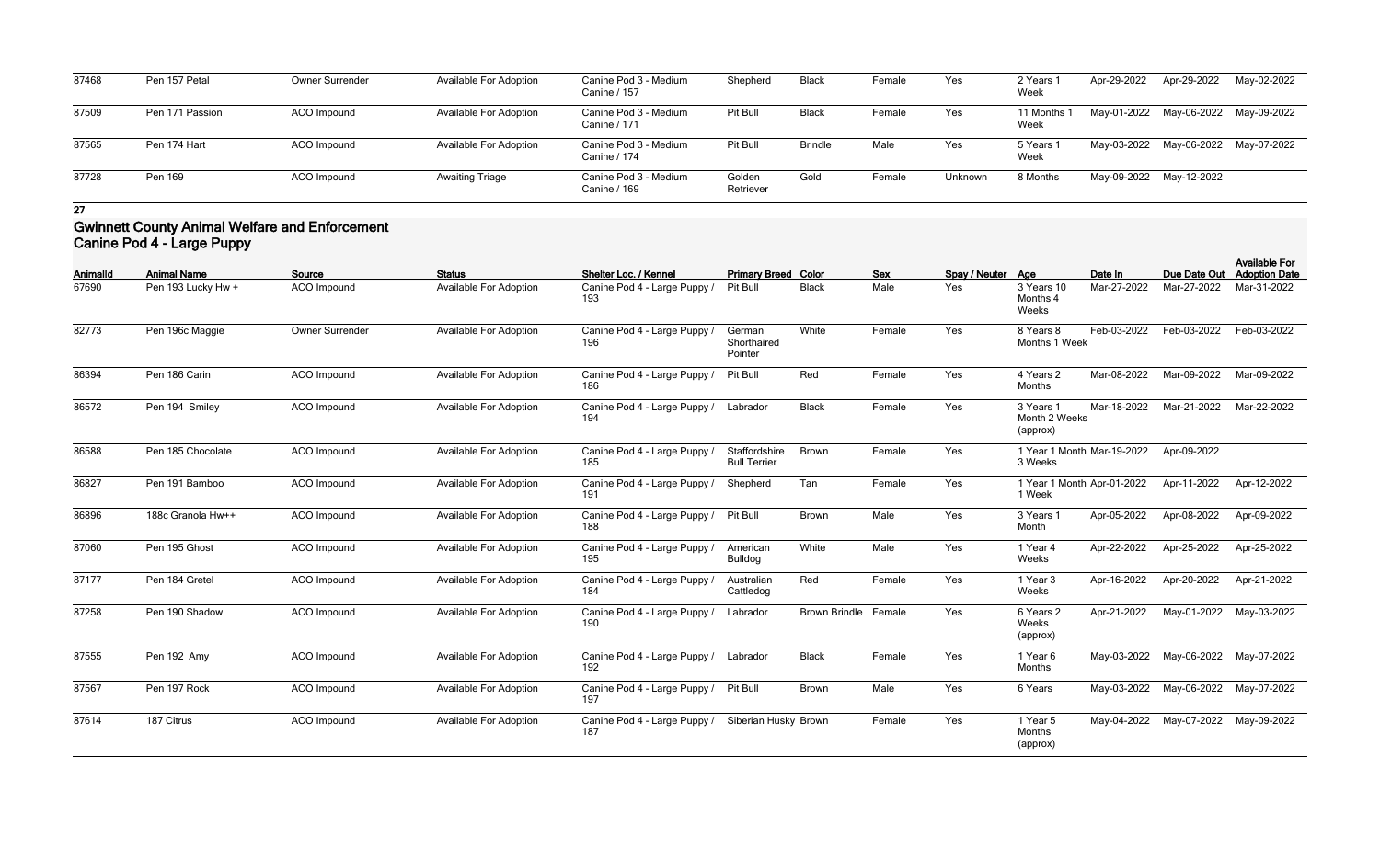| 87468 | Pen 157 Petal   | <b>Owner Surrender</b> | <b>Available For Adoption</b> | Canine Pod 3 - Medium<br>Canine / 157 | Shepherd            | Black          | Female | Yes     | 2 Years<br>Week                | Apr-29-2022 | Apr-29-2022             | May-02-2022 |
|-------|-----------------|------------------------|-------------------------------|---------------------------------------|---------------------|----------------|--------|---------|--------------------------------|-------------|-------------------------|-------------|
| 87509 | Pen 171 Passion | ACO Impound            | Available For Adoption        | Canine Pod 3 - Medium<br>Canine / 171 | Pit Bull            | Black          | Female | Yes     | l1 Months <sup>:</sup><br>Week |             | May-01-2022 May-06-2022 | May-09-2022 |
| 87565 | Pen 174 Hart    | ACO Impound            | <b>Available For Adoption</b> | Canine Pod 3 - Medium<br>Canine / 174 | Pit Bull            | <b>Brindle</b> | Male   | Yes     | 5 Years<br>Week                |             | May-03-2022 May-06-2022 | May-07-2022 |
| 87728 | Pen 169         | <b>ACO Impound</b>     | <b>Awaiting Triage</b>        | Canine Pod 3 - Medium<br>Canine / 169 | Golden<br>Retriever | Golc           | Female | Unknown | 8 Months                       |             | May-09-2022 May-12-2022 |             |

### **Gwinnett County Animal Welfare and Enforcement Canine Pod 4 - Large Puppy**

| <b>AnimalId</b> | <b>Animal Name</b> | Source             | <b>Status</b>                 | Shelter Loc. / Kennel               | <b>Primary Breed Color</b>           |                             | <b>Sex</b> | Spay / Neuter Age |                                        | Date In                    | Due Date Out | <b>Available For</b><br><b>Adoption Date</b> |
|-----------------|--------------------|--------------------|-------------------------------|-------------------------------------|--------------------------------------|-----------------------------|------------|-------------------|----------------------------------------|----------------------------|--------------|----------------------------------------------|
| 67690           | Pen 193 Lucky Hw + | <b>ACO</b> Impound | <b>Available For Adoption</b> | Canine Pod 4 - Large Puppy /<br>193 | Pit Bull                             | <b>Black</b>                | Male       | Yes               | 3 Years 10<br>Months 4<br>Weeks        | Mar-27-2022                | Mar-27-2022  | Mar-31-2022                                  |
| 82773           | Pen 196c Maggie    | Owner Surrender    | <b>Available For Adoption</b> | Canine Pod 4 - Large Puppy /<br>196 | German<br>Shorthaired<br>Pointer     | White                       | Female     | Yes               | 8 Years 8<br>Months 1 Week             | Feb-03-2022                | Feb-03-2022  | Feb-03-2022                                  |
| 86394           | Pen 186 Carin      | ACO Impound        | <b>Available For Adoption</b> | Canine Pod 4 - Large Puppy /<br>186 | Pit Bull                             | Red                         | Female     | Yes               | 4 Years 2<br>Months                    | Mar-08-2022                | Mar-09-2022  | Mar-09-2022                                  |
| 86572           | Pen 194 Smiley     | <b>ACO</b> Impound | <b>Available For Adoption</b> | Canine Pod 4 - Large Puppy /<br>194 | Labrador                             | <b>Black</b>                | Female     | Yes               | 3 Years 1<br>Month 2 Weeks<br>(approx) | Mar-18-2022                | Mar-21-2022  | Mar-22-2022                                  |
| 86588           | Pen 185 Chocolate  | <b>ACO</b> Impound | Available For Adoption        | Canine Pod 4 - Large Puppy /<br>185 | Staffordshire<br><b>Bull Terrier</b> | <b>Brown</b>                | Female     | Yes               | 3 Weeks                                | 1 Year 1 Month Mar-19-2022 | Apr-09-2022  |                                              |
| 86827           | Pen 191 Bamboo     | ACO Impound        | <b>Available For Adoption</b> | Canine Pod 4 - Large Puppy /<br>191 | Shepherd                             | Tan                         | Female     | Yes               | 1 Year 1 Month Apr-01-2022<br>1 Week   |                            | Apr-11-2022  | Apr-12-2022                                  |
| 86896           | 188c Granola Hw++  | ACO Impound        | <b>Available For Adoption</b> | Canine Pod 4 - Large Puppy /<br>188 | Pit Bull                             | Brown                       | Male       | Yes               | 3 Years 1<br>Month                     | Apr-05-2022                | Apr-08-2022  | Apr-09-2022                                  |
| 87060           | Pen 195 Ghost      | ACO Impound        | Available For Adoption        | Canine Pod 4 - Large Puppy /<br>195 | American<br><b>Bulldog</b>           | White                       | Male       | Yes               | 1 Year 4<br>Weeks                      | Apr-22-2022                | Apr-25-2022  | Apr-25-2022                                  |
| 87177           | Pen 184 Gretel     | <b>ACO</b> Impound | <b>Available For Adoption</b> | Canine Pod 4 - Large Puppy /<br>184 | Australian<br>Cattledog              | Red                         | Female     | Yes               | 1 Year 3<br>Weeks                      | Apr-16-2022                | Apr-20-2022  | Apr-21-2022                                  |
| 87258           | Pen 190 Shadow     | <b>ACO</b> Impound | <b>Available For Adoption</b> | Canine Pod 4 - Large Puppy /<br>190 | Labrador                             | <b>Brown Brindle Female</b> |            | Yes               | 6 Years 2<br>Weeks<br>(approx)         | Apr-21-2022                | May-01-2022  | May-03-2022                                  |
| 87555           | Pen 192 Amy        | <b>ACO</b> Impound | <b>Available For Adoption</b> | Canine Pod 4 - Large Puppy /<br>192 | Labrador                             | <b>Black</b>                | Female     | Yes               | 1 Year 6<br>Months                     | May-03-2022                | May-06-2022  | May-07-2022                                  |
| 87567           | Pen 197 Rock       | <b>ACO</b> Impound | Available For Adoption        | Canine Pod 4 - Large Puppy /<br>197 | Pit Bull                             | Brown                       | Male       | Yes               | 6 Years                                | May-03-2022                | May-06-2022  | May-07-2022                                  |
| 87614           | 187 Citrus         | <b>ACO</b> Impound | Available For Adoption        | Canine Pod 4 - Large Puppy /<br>187 | Siberian Husky Brown                 |                             | Female     | Yes               | 1 Year 5<br>Months<br>(approx)         | May-04-2022                | May-07-2022  | May-09-2022                                  |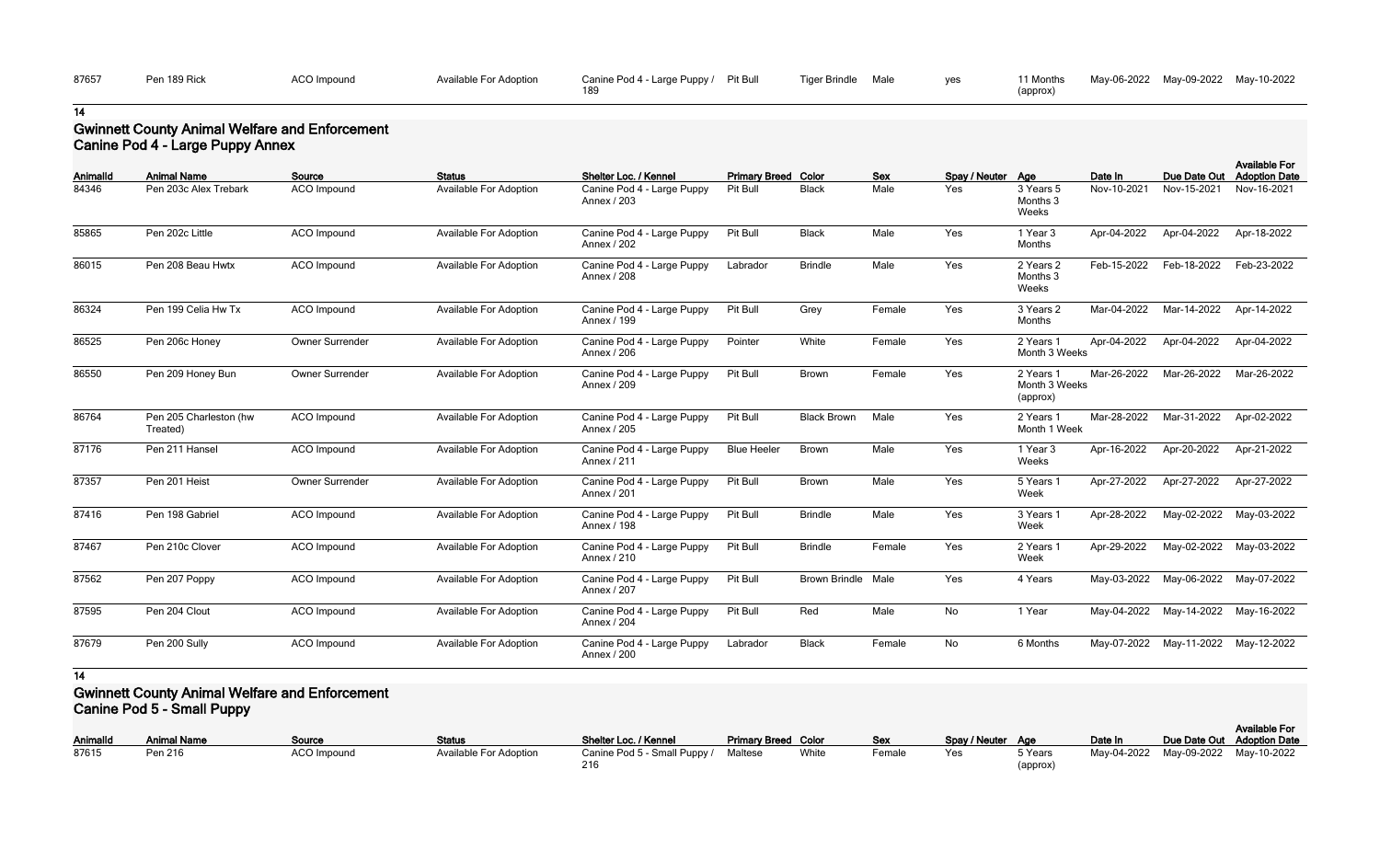| 87657 | Pen 189 Rick | <b>ACO</b> Impound | Available For Adoption | Canine Pod 4 - Large Puppy / | Pit Bull | <b>Tiger Brindle</b> | Male | ves | <sup>1</sup> Months |
|-------|--------------|--------------------|------------------------|------------------------------|----------|----------------------|------|-----|---------------------|
|       |              |                    |                        |                              |          |                      |      |     | (approx)            |

| 11 Months | May-06-2022 May-09-2022 May-10-2022 |  |
|-----------|-------------------------------------|--|
| (approx)  |                                     |  |

## **Gwinnett County Animal Welfare and Enforcement Canine Pod 4 - Large Puppy Annex**

| <b>AnimalId</b> | <b>Animal Name</b>                 | Source                 | <b>Status</b>                 | Shelter Loc. / Kennel                     | <b>Primary Breed Color</b> |                      | <b>Sex</b> | Spay / Neuter Age |                                        | Date In     | Due Date Out | <b>Available For</b><br><b>Adoption Date</b> |
|-----------------|------------------------------------|------------------------|-------------------------------|-------------------------------------------|----------------------------|----------------------|------------|-------------------|----------------------------------------|-------------|--------------|----------------------------------------------|
| 84346           | Pen 203c Alex Trebark              | <b>ACO</b> Impound     | <b>Available For Adoption</b> | Canine Pod 4 - Large Puppy<br>Annex / 203 | Pit Bull                   | <b>Black</b>         | Male       | Yes               | 3 Years 5<br>Months 3<br>Weeks         | Nov-10-2021 | Nov-15-2021  | Nov-16-2021                                  |
| 85865           | Pen 202c Little                    | ACO Impound            | <b>Available For Adoption</b> | Canine Pod 4 - Large Puppy<br>Annex / 202 | Pit Bull                   | <b>Black</b>         | Male       | Yes               | 1 Year 3<br>Months                     | Apr-04-2022 | Apr-04-2022  | Apr-18-2022                                  |
| 86015           | Pen 208 Beau Hwtx                  | ACO Impound            | <b>Available For Adoption</b> | Canine Pod 4 - Large Puppy<br>Annex / 208 | Labrador                   | <b>Brindle</b>       | Male       | Yes               | 2 Years 2<br>Months 3<br>Weeks         | Feb-15-2022 | Feb-18-2022  | Feb-23-2022                                  |
| 86324           | Pen 199 Celia Hw Tx                | ACO Impound            | <b>Available For Adoption</b> | Canine Pod 4 - Large Puppy<br>Annex / 199 | Pit Bull                   | Grey                 | Female     | Yes               | 3 Years 2<br>Months                    | Mar-04-2022 | Mar-14-2022  | Apr-14-2022                                  |
| 86525           | Pen 206c Honey                     | Owner Surrender        | <b>Available For Adoption</b> | Canine Pod 4 - Large Puppy<br>Annex / 206 | Pointer                    | White                | Female     | Yes               | 2 Years 1<br>Month 3 Weeks             | Apr-04-2022 | Apr-04-2022  | Apr-04-2022                                  |
| 86550           | Pen 209 Honey Bun                  | <b>Owner Surrender</b> | <b>Available For Adoption</b> | Canine Pod 4 - Large Puppy<br>Annex / 209 | Pit Bull                   | <b>Brown</b>         | Female     | Yes               | 2 Years 1<br>Month 3 Weeks<br>(approx) | Mar-26-2022 | Mar-26-2022  | Mar-26-2022                                  |
| 86764           | Pen 205 Charleston (hw<br>Treated) | ACO Impound            | <b>Available For Adoption</b> | Canine Pod 4 - Large Puppy<br>Annex / 205 | Pit Bull                   | <b>Black Brown</b>   | Male       | Yes               | 2 Years 1<br>Month 1 Week              | Mar-28-2022 | Mar-31-2022  | Apr-02-2022                                  |
| 87176           | Pen 211 Hansel                     | ACO Impound            | <b>Available For Adoption</b> | Canine Pod 4 - Large Puppy<br>Annex / 211 | <b>Blue Heeler</b>         | <b>Brown</b>         | Male       | Yes               | 1 Year 3<br>Weeks                      | Apr-16-2022 | Apr-20-2022  | Apr-21-2022                                  |
| 87357           | Pen 201 Heist                      | Owner Surrender        | <b>Available For Adoption</b> | Canine Pod 4 - Large Puppy<br>Annex / 201 | Pit Bull                   | <b>Brown</b>         | Male       | Yes               | 5 Years 1<br>Week                      | Apr-27-2022 | Apr-27-2022  | Apr-27-2022                                  |
| 87416           | Pen 198 Gabriel                    | ACO Impound            | <b>Available For Adoption</b> | Canine Pod 4 - Large Puppy<br>Annex / 198 | Pit Bull                   | <b>Brindle</b>       | Male       | Yes               | 3 Years 1<br>Week                      | Apr-28-2022 | May-02-2022  | May-03-2022                                  |
| 87467           | Pen 210c Clover                    | <b>ACO</b> Impound     | <b>Available For Adoption</b> | Canine Pod 4 - Large Puppy<br>Annex / 210 | Pit Bull                   | <b>Brindle</b>       | Female     | Yes               | 2 Years 1<br>Week                      | Apr-29-2022 | May-02-2022  | May-03-2022                                  |
| 87562           | Pen 207 Poppy                      | <b>ACO</b> Impound     | <b>Available For Adoption</b> | Canine Pod 4 - Large Puppy<br>Annex / 207 | Pit Bull                   | <b>Brown Brindle</b> | Male       | Yes               | 4 Years                                | May-03-2022 | May-06-2022  | May-07-2022                                  |
| 87595           | Pen 204 Clout                      | ACO Impound            | <b>Available For Adoption</b> | Canine Pod 4 - Large Puppy<br>Annex / 204 | Pit Bull                   | Red                  | Male       | No                | 1 Year                                 | May-04-2022 | May-14-2022  | May-16-2022                                  |
| 87679           | Pen 200 Sully                      | ACO Impound            | <b>Available For Adoption</b> | Canine Pod 4 - Large Puppy<br>Annex / 200 | Labrador                   | <b>Black</b>         | Female     | No                | 6 Months                               | May-07-2022 | May-11-2022  | May-12-2022                                  |

### **14**

### **Gwinnett County Animal Welfare and Enforcement Canine Pod 5 - Small Puppy**

| <b>AnimalId</b> | <b>Animal Name</b> | Source             | <b>Status</b>                 | Shelter Loc. / Kennel        | <b>Primary Breed Color</b> |       | <u>Sex</u> | Spay / Neuter Age |          | Date In     | Due Date Out |
|-----------------|--------------------|--------------------|-------------------------------|------------------------------|----------------------------|-------|------------|-------------------|----------|-------------|--------------|
| 87615           | Pen 216            | <b>ACO Impound</b> | <b>Available For Adoption</b> | Canine Pod 5 - Small Puppy / | Maltese                    | White | Female     | Yes               | 5 Years  | May-04-2022 | May-09-2022  |
|                 |                    |                    |                               | 216                          |                            |       |            |                   | (approx) |             |              |

| Spay / Neuter | Age                 | Date In     | Due Date Out | <b>Available For</b><br><b>Adoption Date</b> |
|---------------|---------------------|-------------|--------------|----------------------------------------------|
| Yes.          | 5 Years<br>(approx) | Mav-04-2022 | May-09-2022  | May-10-2022                                  |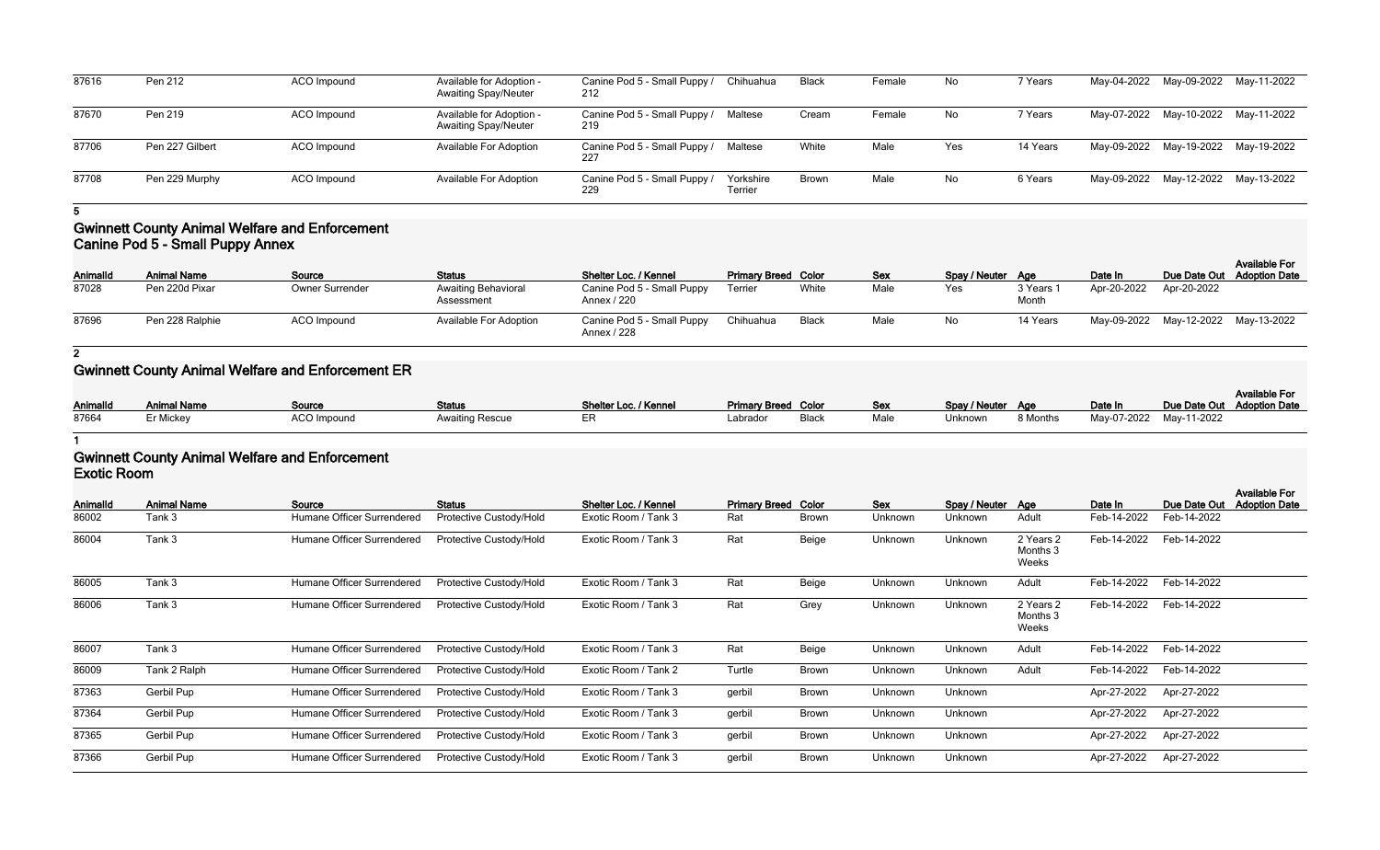| 87616 | Pen 212         | ACO Impound        | Available for Adoption -<br><b>Awaiting Spay/Neuter</b> | Canine Pod 5 - Small Puppy /<br>212 | Chihuahua            | <b>Black</b> | Female | No  | 7 Years  | May-04-2022 May-09-2022 May-11-2022 |  |
|-------|-----------------|--------------------|---------------------------------------------------------|-------------------------------------|----------------------|--------------|--------|-----|----------|-------------------------------------|--|
| 87670 | Pen 219         | ACO Impound        | Available for Adoption -<br><b>Awaiting Spay/Neuter</b> | Canine Pod 5 - Small Puppy /<br>219 | Maltese              | Cream        | Female | No  | 7 Years  | May-07-2022 May-10-2022 May-11-2022 |  |
| 87706 | Pen 227 Gilbert | <b>ACO</b> Impound | <b>Available For Adoption</b>                           | Canine Pod 5 - Small Puppy /<br>227 | Maltese              | White        | Male   | Yes | 14 Years | May-09-2022 May-19-2022 May-19-2022 |  |
| 87708 | Pen 229 Murphy  | ACO Impound        | <b>Available For Adoption</b>                           | Canine Pod 5 - Small Puppy /<br>229 | Yorkshire<br>Terrier | <b>Brown</b> | Male   | No  | 6 Years  | May-09-2022 May-12-2022 May-13-2022 |  |

### **Gwinnett County Animal Welfare and Enforcement Canine Pod 5 - Small Puppy Annex**

| <b>AnimalId</b> | <b>Animal Name</b> | Source                 | <b>Status</b>                            | Shelter Loc. / Kennel                     | <b>Primary Breed Color</b> |       | <b>Sex</b> | Spay / Neuter Age |                  | Date In     | Due Date Out Adoption Date          | <b>Available For</b> |
|-----------------|--------------------|------------------------|------------------------------------------|-------------------------------------------|----------------------------|-------|------------|-------------------|------------------|-------------|-------------------------------------|----------------------|
| 87028           | Pen 220d Pixar     | <b>Owner Surrender</b> | <b>Awaiting Behavioral</b><br>Assessment | Canine Pod 5 - Small Puppy<br>Annex / 220 | Terrier                    | White | Male       | Yes               | 3 Years<br>Month | Apr-20-2022 | Apr-20-2022                         |                      |
| 87696           | Pen 228 Ralphie    | <b>ACO</b> Impound     | <b>Available For Adoption</b>            | Canine Pod 5 - Small Puppy<br>Annex / 228 | Chihuahua                  | Black | Male       | No                | 14 Years         |             | May-09-2022 May-12-2022 May-13-2022 |                      |

**2**

# **Gwinnett County Animal Welfare and Enforcement ER**

| <b>AnimalId</b> | <b>Animal Name</b> | Source      | <b>Status</b>          | Shelter Loc. / Kennel | <b>Primary Breed Color</b> |             | Sex  | Spay / Neuter Age |          | Date In                 | Due Date Out Adoption Date | <b>Available For</b> |
|-----------------|--------------------|-------------|------------------------|-----------------------|----------------------------|-------------|------|-------------------|----------|-------------------------|----------------------------|----------------------|
| 87664           | Er Mickey          | ACO Impound | <b>Awaiting Rescue</b> |                       | Labrador                   | <b>Blac</b> | Male | Unknown           | 8 Months | May-07-2022 May-11-2022 |                            |                      |

**1**

### **Gwinnett County Animal Welfare and Enforcement Exotic Room**

| Animalld | <b>Animal Name</b> | Source                     | <b>Status</b>           | Shelter Loc. / Kennel | <b>Primary Breed Color</b> |              | Sex     | Spay / Neuter Age |                                | Date In     | Due Date Out | <b>Available For</b><br><b>Adoption Date</b> |
|----------|--------------------|----------------------------|-------------------------|-----------------------|----------------------------|--------------|---------|-------------------|--------------------------------|-------------|--------------|----------------------------------------------|
| 86002    | Tank 3             | Humane Officer Surrendered | Protective Custody/Hold | Exotic Room / Tank 3  | Rat                        | <b>Brown</b> | Unknown | Unknown           | Adult                          | Feb-14-2022 | Feb-14-2022  |                                              |
| 86004    | Tank 3             | Humane Officer Surrendered | Protective Custody/Hold | Exotic Room / Tank 3  | Rat                        | Beige        | Unknown | Unknown           | 2 Years 2<br>Months 3<br>Weeks | Feb-14-2022 | Feb-14-2022  |                                              |
| 86005    | Tank 3             | Humane Officer Surrendered | Protective Custody/Hold | Exotic Room / Tank 3  | Rat                        | Beige        | Unknown | Unknown           | Adult                          | Feb-14-2022 | Feb-14-2022  |                                              |
| 86006    | Tank 3             | Humane Officer Surrendered | Protective Custody/Hold | Exotic Room / Tank 3  | Rat                        | Grey         | Unknown | Unknown           | 2 Years 2<br>Months 3<br>Weeks | Feb-14-2022 | Feb-14-2022  |                                              |
| 86007    | Tank 3             | Humane Officer Surrendered | Protective Custody/Hold | Exotic Room / Tank 3  | Rat                        | Beige        | Unknown | Unknown           | Adult                          | Feb-14-2022 | Feb-14-2022  |                                              |
| 86009    | Tank 2 Ralph       | Humane Officer Surrendered | Protective Custody/Hold | Exotic Room / Tank 2  | Turtle                     | <b>Brown</b> | Unknown | Unknown           | Adult                          | Feb-14-2022 | Feb-14-2022  |                                              |
| 87363    | Gerbil Pup         | Humane Officer Surrendered | Protective Custody/Hold | Exotic Room / Tank 3  | gerbil                     | <b>Brown</b> | Unknown | Unknown           |                                | Apr-27-2022 | Apr-27-2022  |                                              |
| 87364    | Gerbil Pup         | Humane Officer Surrendered | Protective Custody/Hold | Exotic Room / Tank 3  | gerbil                     | <b>Brown</b> | Unknown | Unknown           |                                | Apr-27-2022 | Apr-27-2022  |                                              |
| 87365    | Gerbil Pup         | Humane Officer Surrendered | Protective Custody/Hold | Exotic Room / Tank 3  | gerbil                     | Brown        | Unknown | Unknown           |                                | Apr-27-2022 | Apr-27-2022  |                                              |
| 87366    | Gerbil Pup         | Humane Officer Surrendered | Protective Custody/Hold | Exotic Room / Tank 3  | gerbil                     | <b>Brown</b> | Unknown | Unknown           |                                | Apr-27-2022 | Apr-27-2022  |                                              |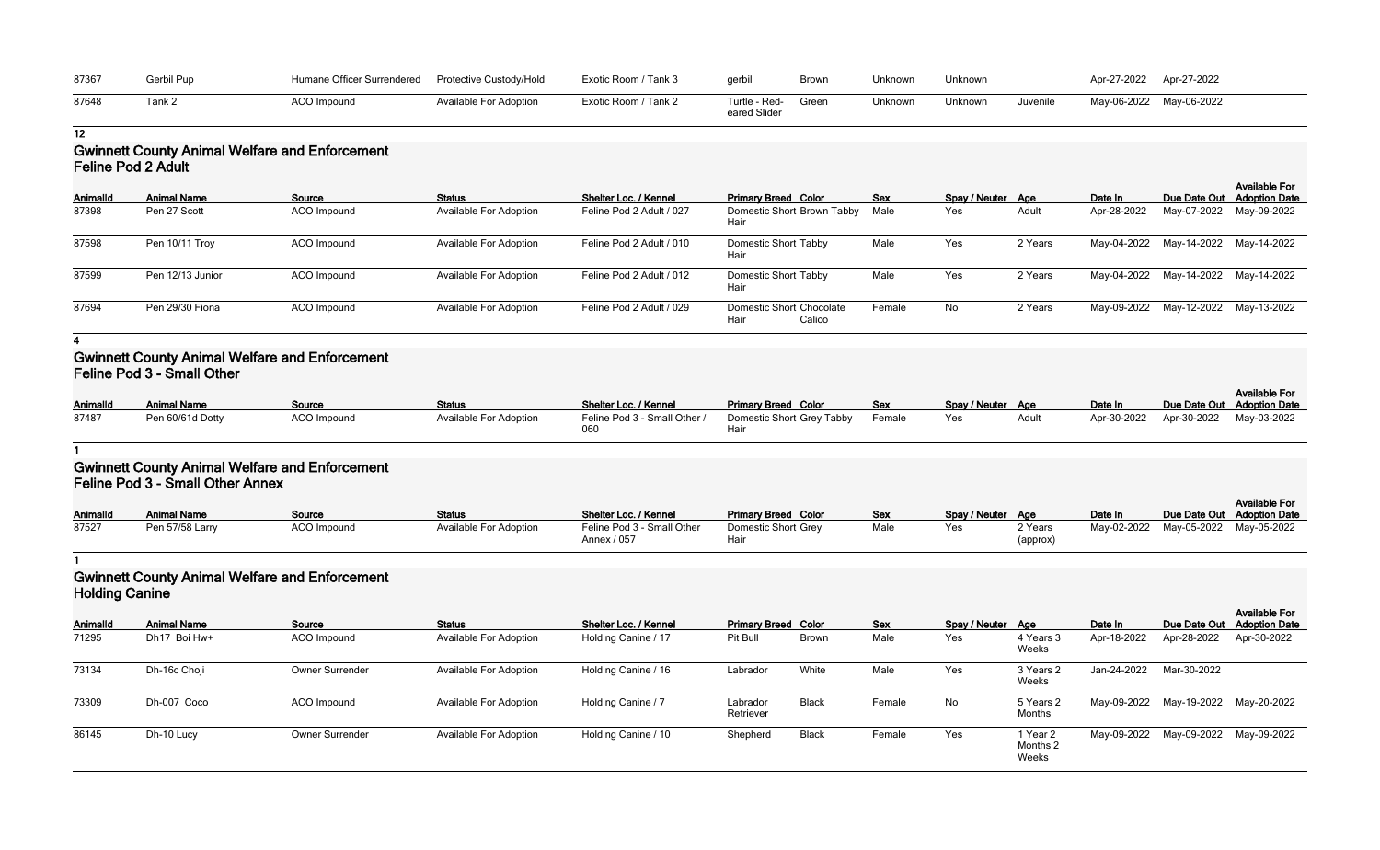| 87367 | Gerbil Pup | Humane Officer Surrendered | Protective Custody/Hold       | Exotic Room / Tank 3 | gerbil                              | Brown | Unknown | Unknown |          | Apr-27-2022 | Apr-27-2022 |
|-------|------------|----------------------------|-------------------------------|----------------------|-------------------------------------|-------|---------|---------|----------|-------------|-------------|
| 87648 |            | ACO Impound                | <b>Available For Adoption</b> | Exotic Room / Tank 2 | Turtle - Red- Green<br>eared Slider |       | Unknown | Unknown | Juvenile | May-06-2022 | May-06-2022 |

### **Gwinnett County Animal Welfare and Enforcement Feline Pod 2 Adult**

| <b>AnimalId</b> | <b>Animal Name</b> | Source      | <b>Status</b>                 | <b>Shelter Loc. / Kennel</b> | <b>Primary Breed Color</b>                        | <b>Sex</b> | Spay / Neuter Age |         | Date In     | Due Date Out                        | <b>Available For</b><br><b>Adoption Date</b> |
|-----------------|--------------------|-------------|-------------------------------|------------------------------|---------------------------------------------------|------------|-------------------|---------|-------------|-------------------------------------|----------------------------------------------|
| 87398           | Pen 27 Scott       | ACO Impound | <b>Available For Adoption</b> | Feline Pod 2 Adult / 027     | Domestic Short Brown Tabby<br>Hair                | Male       | Yes               | Adult   | Apr-28-2022 | May-07-2022                         | May-09-2022                                  |
| 87598           | Pen 10/11 Troy     | ACO Impound | <b>Available For Adoption</b> | Feline Pod 2 Adult / 010     | <b>Domestic Short Tabby</b><br>Hair               | Male       | Yes               | 2 Years |             | May-04-2022 May-14-2022 May-14-2022 |                                              |
| 87599           | Pen 12/13 Junior   | ACO Impound | <b>Available For Adoption</b> | Feline Pod 2 Adult / 012     | <b>Domestic Short Tabby</b><br>Hair               | Male       | Yes               | 2 Years | May-04-2022 | May-14-2022 May-14-2022             |                                              |
| 87694           | Pen 29/30 Fiona    | ACO Impound | <b>Available For Adoption</b> | Feline Pod 2 Adult / 029     | <b>Domestic Short Chocolate</b><br>Hair<br>Calico | Female     | No                | 2 Years |             | May-09-2022 May-12-2022 May-13-2022 |                                              |

#### **4**

### **Gwinnett County Animal Welfare and Enforcement Feline Pod 3 - Small Other**

| <b>AnimalId</b> | <b>Animal Name</b> | <b>Source</b> | <b>Status</b>                 | Shelter Loc. / Kennel        | <b>Primary Breed Color</b> | <u>Sex</u> | Spay / Neuter Age |       | Date In |                                     | <b>Available For</b><br>Due Date Out Adoption Date |
|-----------------|--------------------|---------------|-------------------------------|------------------------------|----------------------------|------------|-------------------|-------|---------|-------------------------------------|----------------------------------------------------|
| 87487           | Pen 60/61d Dotty   | ACO Impound   | <b>Available For Adoption</b> | Feline Pod 3 - Small Other / | Domestic Short Grey Tabby  | Female     | Yes               | Adult |         | Apr-30-2022 Apr-30-2022 May-03-2022 |                                                    |

### **1**

### **Gwinnett County Animal Welfare and Enforcement Feline Pod 3 - Small Other Annex**

| <b>AnimalId</b> | <b>Animal Name</b> | Source      | <b>Status</b>                 | Shelter Loc. / Kennel                     | <b>Primary Breed Color</b>  | <b>Sex</b> | Spay / Neuter Age |                     | Date In                             | <b>Available For</b><br>Due Date Out Adoption Date |
|-----------------|--------------------|-------------|-------------------------------|-------------------------------------------|-----------------------------|------------|-------------------|---------------------|-------------------------------------|----------------------------------------------------|
| 87527           | Pen 57/58 Larry    | ACO Impound | <b>Available For Adoption</b> | Feline Pod 3 - Small Other<br>Annex / 057 | Domestic Short Grey<br>Hair | Male       | Yes               | 2 Years<br>(approx) | May-02-2022 May-05-2022 May-05-2022 |                                                    |

#### **1**

### **Gwinnett County Animal Welfare and Enforcement Holding Canine**

| <b>TRUMING</b> |                    |                        |                               |                       |                            |              |            |                   |                               |             |                         |                                                    |
|----------------|--------------------|------------------------|-------------------------------|-----------------------|----------------------------|--------------|------------|-------------------|-------------------------------|-------------|-------------------------|----------------------------------------------------|
| Animalld       | <b>Animal Name</b> | Source                 | <b>Status</b>                 | Shelter Loc. / Kennel | <b>Primary Breed Color</b> |              | <b>Sex</b> | Spay / Neuter Age |                               | Date In     |                         | <b>Available For</b><br>Due Date Out Adoption Date |
| 71295          | Dh17 Boi Hw+       | ACO Impound            | <b>Available For Adoption</b> | Holding Canine / 17   | Pit Bull                   | <b>Brown</b> | Male       | Yes               | 4 Years 3<br>Weeks            | Apr-18-2022 | Apr-28-2022             | Apr-30-2022                                        |
| 73134          | Dh-16c Choji       | <b>Owner Surrender</b> | <b>Available For Adoption</b> | Holding Canine / 16   | Labrador                   | White        | Male       | Yes               | 3 Years 2<br>Weeks            | Jan-24-2022 | Mar-30-2022             |                                                    |
| 73309          | Dh-007 Coco        | ACO Impound            | <b>Available For Adoption</b> | Holding Canine / 7    | Labrador<br>Retriever      | <b>Black</b> | Female     | No                | 5 Years 2<br>Months           |             | May-09-2022 May-19-2022 | May-20-2022                                        |
| 86145          | Dh-10 Lucy         | <b>Owner Surrender</b> | <b>Available For Adoption</b> | Holding Canine / 10   | Shepherd                   | <b>Black</b> | Female     | Yes               | 1 Year 2<br>Months 2<br>Weeks |             | May-09-2022 May-09-2022 | May-09-2022                                        |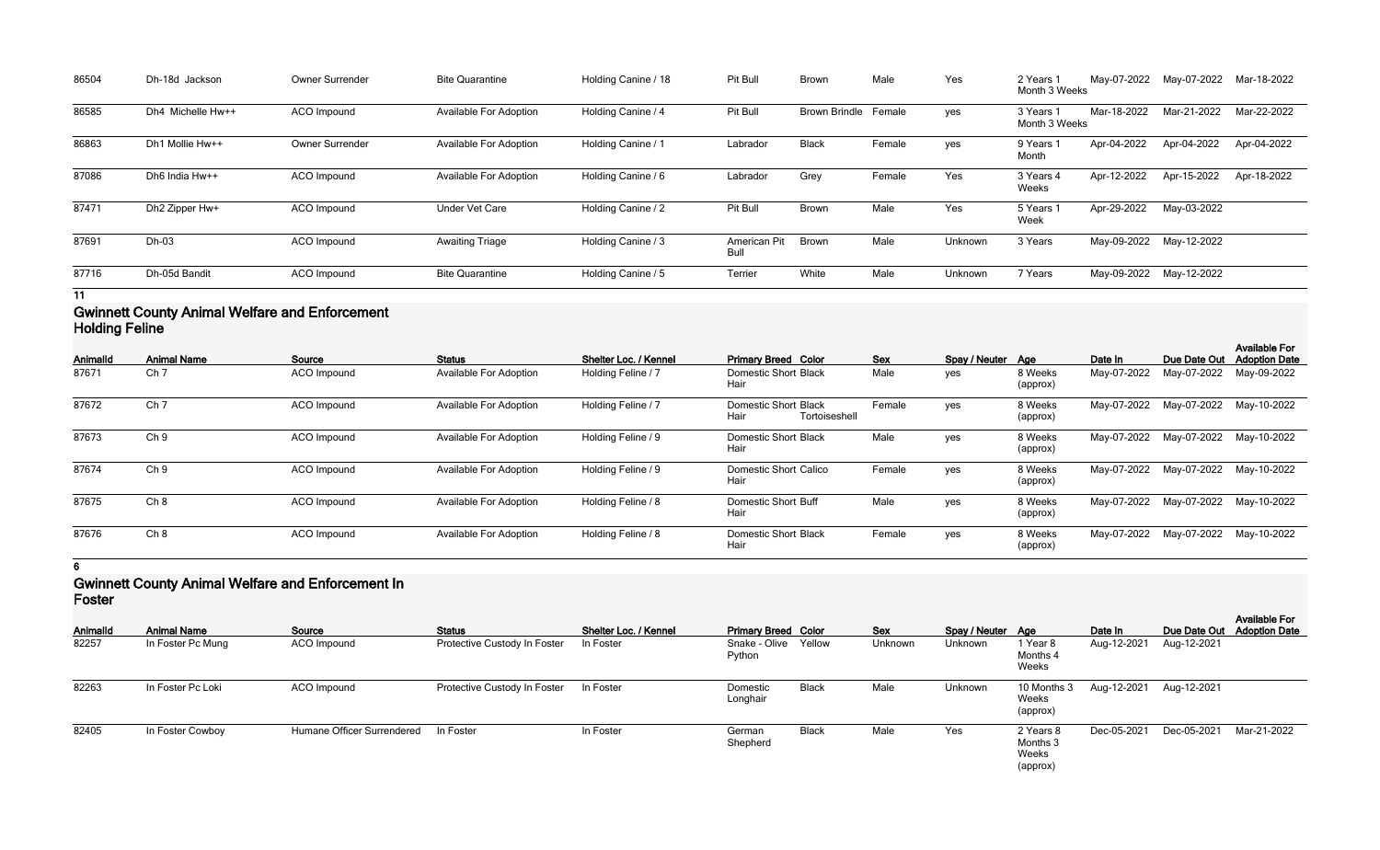| 86504 | Dh-18d Jackson    | <b>Owner Surrender</b> | <b>Bite Quarantine</b>        | Holding Canine / 18 | Pit Bull             | <b>Brown</b>         | Male   | Yes     | 2 Years 1<br>Month 3 Weeks | May-07-2022             | May-07-2022             | Mar-18-2022 |
|-------|-------------------|------------------------|-------------------------------|---------------------|----------------------|----------------------|--------|---------|----------------------------|-------------------------|-------------------------|-------------|
| 86585 | Dh4 Michelle Hw++ | <b>ACO</b> Impound     | <b>Available For Adoption</b> | Holding Canine / 4  | Pit Bull             | <b>Brown Brindle</b> | Female | yes     | 3 Years 1<br>Month 3 Weeks | Mar-18-2022             | Mar-21-2022             | Mar-22-2022 |
| 86863 | Dh1 Mollie Hw++   | Owner Surrender        | <b>Available For Adoption</b> | Holding Canine / 1  | Labrador             | <b>Black</b>         | Female | yes     | 9 Years 1<br>Month         | Apr-04-2022             | Apr-04-2022             | Apr-04-2022 |
| 87086 | Dh6 India Hw++    | ACO Impound            | <b>Available For Adoption</b> | Holding Canine / 6  | Labrador             | Grey                 | Female | Yes     | 3 Years 4<br>Weeks         | Apr-12-2022             | Apr-15-2022             | Apr-18-2022 |
| 87471 | Dh2 Zipper Hw+    | <b>ACO</b> Impound     | <b>Under Vet Care</b>         | Holding Canine / 2  | Pit Bull             | <b>Brown</b>         | Male   | Yes     | 5 Years 1<br>Week          | Apr-29-2022             | May-03-2022             |             |
| 87691 | Dh-03             | ACO Impound            | <b>Awaiting Triage</b>        | Holding Canine / 3  | American Pit<br>Bull | Brown                | Male   | Unknown | 3 Years                    | May-09-2022 May-12-2022 |                         |             |
| 87716 | Dh-05d Bandit     | ACO Impound            | <b>Bite Quarantine</b>        | Holding Canine / 5  | Terrier              | White                | Male   | Unknown | 7 Years                    |                         | May-09-2022 May-12-2022 |             |

### **Gwinnett County Animal Welfare and Enforcement Holding Feline**

| <b>AnimalId</b> | <b>Animal Name</b> | Source             | <b>Status</b>                 | Shelter Loc. / Kennel | <b>Primary Breed Color</b>                           | <b>Sex</b> | Spay / Neuter Age |                     | Date In     | Due Date Out | <b>Available For</b><br><b>Adoption Date</b> |
|-----------------|--------------------|--------------------|-------------------------------|-----------------------|------------------------------------------------------|------------|-------------------|---------------------|-------------|--------------|----------------------------------------------|
| 87671           | Ch <sub>7</sub>    | ACO Impound        | Available For Adoption        | Holding Feline / 7    | <b>Domestic Short Black</b><br>Hair                  | Male       | yes               | 8 Weeks<br>(approx) | May-07-2022 | May-07-2022  | May-09-2022                                  |
| 87672           | Ch <sub>7</sub>    | <b>ACO</b> Impound | <b>Available For Adoption</b> | Holding Feline / 7    | <b>Domestic Short Black</b><br>Hair<br>Tortoiseshell | Female     | yes               | 8 Weeks<br>(approx) | May-07-2022 | May-07-2022  | May-10-2022                                  |
| 87673           | Ch <sub>9</sub>    | ACO Impound        | <b>Available For Adoption</b> | Holding Feline / 9    | <b>Domestic Short Black</b><br>Hair                  | Male       | yes               | 8 Weeks<br>(approx) | May-07-2022 | May-07-2022  | May-10-2022                                  |
| 87674           | Ch <sub>9</sub>    | <b>ACO</b> Impound | <b>Available For Adoption</b> | Holding Feline / 9    | <b>Domestic Short Calico</b><br>Hair                 | Female     | yes               | 8 Weeks<br>(approx) | May-07-2022 | May-07-2022  | May-10-2022                                  |
| 87675           | Ch 8               | <b>ACO</b> Impound | <b>Available For Adoption</b> | Holding Feline / 8    | Domestic Short Buff<br>Hair                          | Male       | yes               | 8 Weeks<br>(approx) | May-07-2022 | May-07-2022  | May-10-2022                                  |
| 87676           | Ch 8               | <b>ACO</b> Impound | <b>Available For Adoption</b> | Holding Feline / 8    | <b>Domestic Short Black</b><br>Hair                  | Female     | yes               | 8 Weeks<br>(approx) | May-07-2022 | May-07-2022  | May-10-2022                                  |

#### **6**

### **Gwinnett County Animal Welfare and Enforcement In Foster**

| .               |                    |                            |                              |                       |                                |              |            |                   |                                            |             |              |                                              |
|-----------------|--------------------|----------------------------|------------------------------|-----------------------|--------------------------------|--------------|------------|-------------------|--------------------------------------------|-------------|--------------|----------------------------------------------|
| <b>AnimalId</b> | <b>Animal Name</b> | Source                     | <b>Status</b>                | Shelter Loc. / Kennel | <b>Primary Breed Color</b>     |              | <b>Sex</b> | Spay / Neuter Age |                                            | Date In     | Due Date Out | <b>Available For</b><br><b>Adoption Date</b> |
| 82257           | In Foster Pc Mung  | ACO Impound                | Protective Custody In Foster | In Foster             | Snake - Olive Yellow<br>Python |              | Unknown    | Unknown           | 1 Year 8<br>Months 4<br>Weeks              | Aug-12-2021 | Aug-12-2021  |                                              |
| 82263           | In Foster Pc Loki  | ACO Impound                | Protective Custody In Foster | In Foster             | Domestic<br>Longhair           | <b>Black</b> | Male       | Unknown           | 10 Months 3<br>Weeks<br>(approx)           | Aug-12-2021 | Aug-12-2021  |                                              |
| 82405           | In Foster Cowboy   | Humane Officer Surrendered | In Foster                    | In Foster             | German<br>Shepherd             | <b>Black</b> | Male       | Yes               | 2 Years 8<br>Months 3<br>Weeks<br>(approx) | Dec-05-2021 | Dec-05-2021  | Mar-21-2022                                  |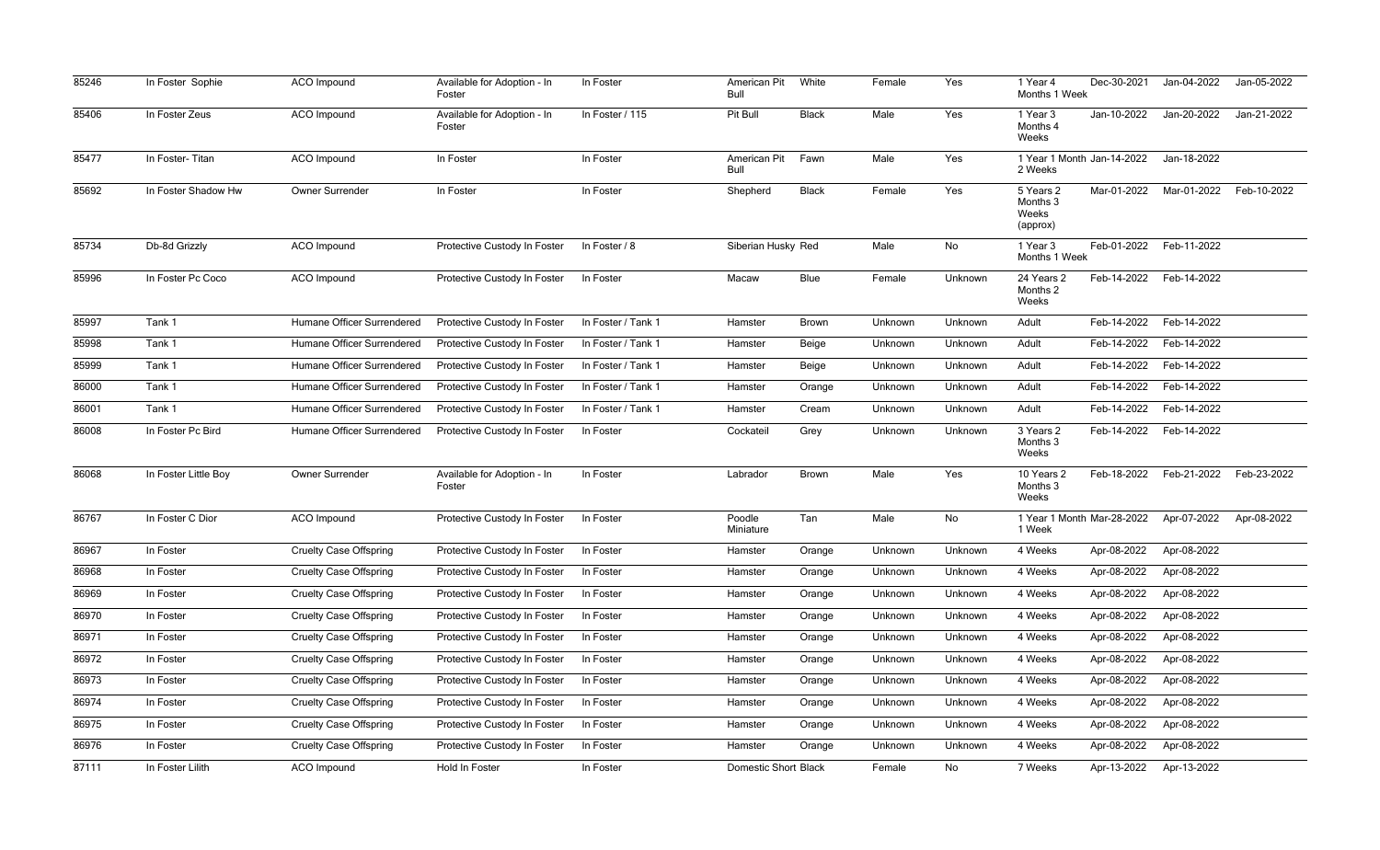| 85246 | In Foster Sophie     | <b>ACO</b> Impound            | Available for Adoption - In<br>Foster | In Foster          | American Pit<br>Bull        | White        | Female  | Yes     | 1 Year 4<br>Months 1 Week                  | Dec-30-2021 | Jan-04-2022 | Jan-05-2022 |
|-------|----------------------|-------------------------------|---------------------------------------|--------------------|-----------------------------|--------------|---------|---------|--------------------------------------------|-------------|-------------|-------------|
| 85406 | In Foster Zeus       | ACO Impound                   | Available for Adoption - In<br>Foster | In Foster / 115    | Pit Bull                    | <b>Black</b> | Male    | Yes     | 1 Year 3<br>Months 4<br>Weeks              | Jan-10-2022 | Jan-20-2022 | Jan-21-2022 |
| 85477 | In Foster-Titan      | ACO Impound                   | In Foster                             | In Foster          | American Pit<br>Bull        | Fawn         | Male    | Yes     | 1 Year 1 Month Jan-14-2022<br>2 Weeks      |             | Jan-18-2022 |             |
| 85692 | In Foster Shadow Hw  | Owner Surrender               | In Foster                             | In Foster          | Shepherd                    | <b>Black</b> | Female  | Yes     | 5 Years 2<br>Months 3<br>Weeks<br>(approx) | Mar-01-2022 | Mar-01-2022 | Feb-10-2022 |
| 85734 | Db-8d Grizzly        | ACO Impound                   | Protective Custody In Foster          | In Foster / 8      | Siberian Husky Red          |              | Male    | No      | 1 Year 3<br>Months 1 Week                  | Feb-01-2022 | Feb-11-2022 |             |
| 85996 | In Foster Pc Coco    | <b>ACO</b> Impound            | Protective Custody In Foster          | In Foster          | Macaw                       | <b>Blue</b>  | Female  | Unknown | 24 Years 2<br>Months 2<br>Weeks            | Feb-14-2022 | Feb-14-2022 |             |
| 85997 | Tank 1               | Humane Officer Surrendered    | Protective Custody In Foster          | In Foster / Tank 1 | Hamster                     | <b>Brown</b> | Unknown | Unknown | Adult                                      | Feb-14-2022 | Feb-14-2022 |             |
| 85998 | Tank 1               | Humane Officer Surrendered    | Protective Custody In Foster          | In Foster / Tank 1 | Hamster                     | Beige        | Unknown | Unknown | Adult                                      | Feb-14-2022 | Feb-14-2022 |             |
| 85999 | Tank 1               | Humane Officer Surrendered    | Protective Custody In Foster          | In Foster / Tank 1 | Hamster                     | Beige        | Unknown | Unknown | Adult                                      | Feb-14-2022 | Feb-14-2022 |             |
| 86000 | Tank 1               | Humane Officer Surrendered    | Protective Custody In Foster          | In Foster / Tank 1 | Hamster                     | Orange       | Unknown | Unknown | Adult                                      | Feb-14-2022 | Feb-14-2022 |             |
| 86001 | Tank 1               | Humane Officer Surrendered    | Protective Custody In Foster          | In Foster / Tank 1 | Hamster                     | Cream        | Unknown | Unknown | Adult                                      | Feb-14-2022 | Feb-14-2022 |             |
| 86008 | In Foster Pc Bird    | Humane Officer Surrendered    | Protective Custody In Foster          | In Foster          | Cockateil                   | Grey         | Unknown | Unknown | 3 Years 2<br>Months 3<br>Weeks             | Feb-14-2022 | Feb-14-2022 |             |
| 86068 | In Foster Little Boy | Owner Surrender               | Available for Adoption - In<br>Foster | In Foster          | Labrador                    | <b>Brown</b> | Male    | Yes     | 10 Years 2<br>Months 3<br>Weeks            | Feb-18-2022 | Feb-21-2022 | Feb-23-2022 |
| 86767 | In Foster C Dior     | <b>ACO</b> Impound            | Protective Custody In Foster          | In Foster          | Poodle<br>Miniature         | Tan          | Male    | No      | 1 Year 1 Month Mar-28-2022<br>1 Week       |             | Apr-07-2022 | Apr-08-2022 |
| 86967 | In Foster            | <b>Cruelty Case Offspring</b> | Protective Custody In Foster          | In Foster          | Hamster                     | Orange       | Unknown | Unknown | 4 Weeks                                    | Apr-08-2022 | Apr-08-2022 |             |
| 86968 | In Foster            | <b>Cruelty Case Offspring</b> | Protective Custody In Foster          | In Foster          | Hamster                     | Orange       | Unknown | Unknown | 4 Weeks                                    | Apr-08-2022 | Apr-08-2022 |             |
| 86969 | In Foster            | <b>Cruelty Case Offspring</b> | Protective Custody In Foster          | In Foster          | Hamster                     | Orange       | Unknown | Unknown | 4 Weeks                                    | Apr-08-2022 | Apr-08-2022 |             |
| 86970 | In Foster            | <b>Cruelty Case Offspring</b> | Protective Custody In Foster          | In Foster          | Hamster                     | Orange       | Unknown | Unknown | 4 Weeks                                    | Apr-08-2022 | Apr-08-2022 |             |
| 86971 | In Foster            | <b>Cruelty Case Offspring</b> | Protective Custody In Foster          | In Foster          | Hamster                     | Orange       | Unknown | Unknown | 4 Weeks                                    | Apr-08-2022 | Apr-08-2022 |             |
| 86972 | In Foster            | <b>Cruelty Case Offspring</b> | Protective Custody In Foster          | In Foster          | Hamster                     | Orange       | Unknown | Unknown | 4 Weeks                                    | Apr-08-2022 | Apr-08-2022 |             |
| 86973 | In Foster            | <b>Cruelty Case Offspring</b> | Protective Custody In Foster          | In Foster          | Hamster                     | Orange       | Unknown | Unknown | 4 Weeks                                    | Apr-08-2022 | Apr-08-2022 |             |
| 86974 | In Foster            | <b>Cruelty Case Offspring</b> | Protective Custody In Foster          | In Foster          | Hamster                     | Orange       | Unknown | Unknown | 4 Weeks                                    | Apr-08-2022 | Apr-08-2022 |             |
| 86975 | In Foster            | <b>Cruelty Case Offspring</b> | Protective Custody In Foster          | In Foster          | Hamster                     | Orange       | Unknown | Unknown | 4 Weeks                                    | Apr-08-2022 | Apr-08-2022 |             |
| 86976 | In Foster            | <b>Cruelty Case Offspring</b> | Protective Custody In Foster          | In Foster          | Hamster                     | Orange       | Unknown | Unknown | 4 Weeks                                    | Apr-08-2022 | Apr-08-2022 |             |
| 87111 | In Foster Lilith     | ACO Impound                   | Hold In Foster                        | In Foster          | <b>Domestic Short Black</b> |              | Female  | No      | 7 Weeks                                    | Apr-13-2022 | Apr-13-2022 |             |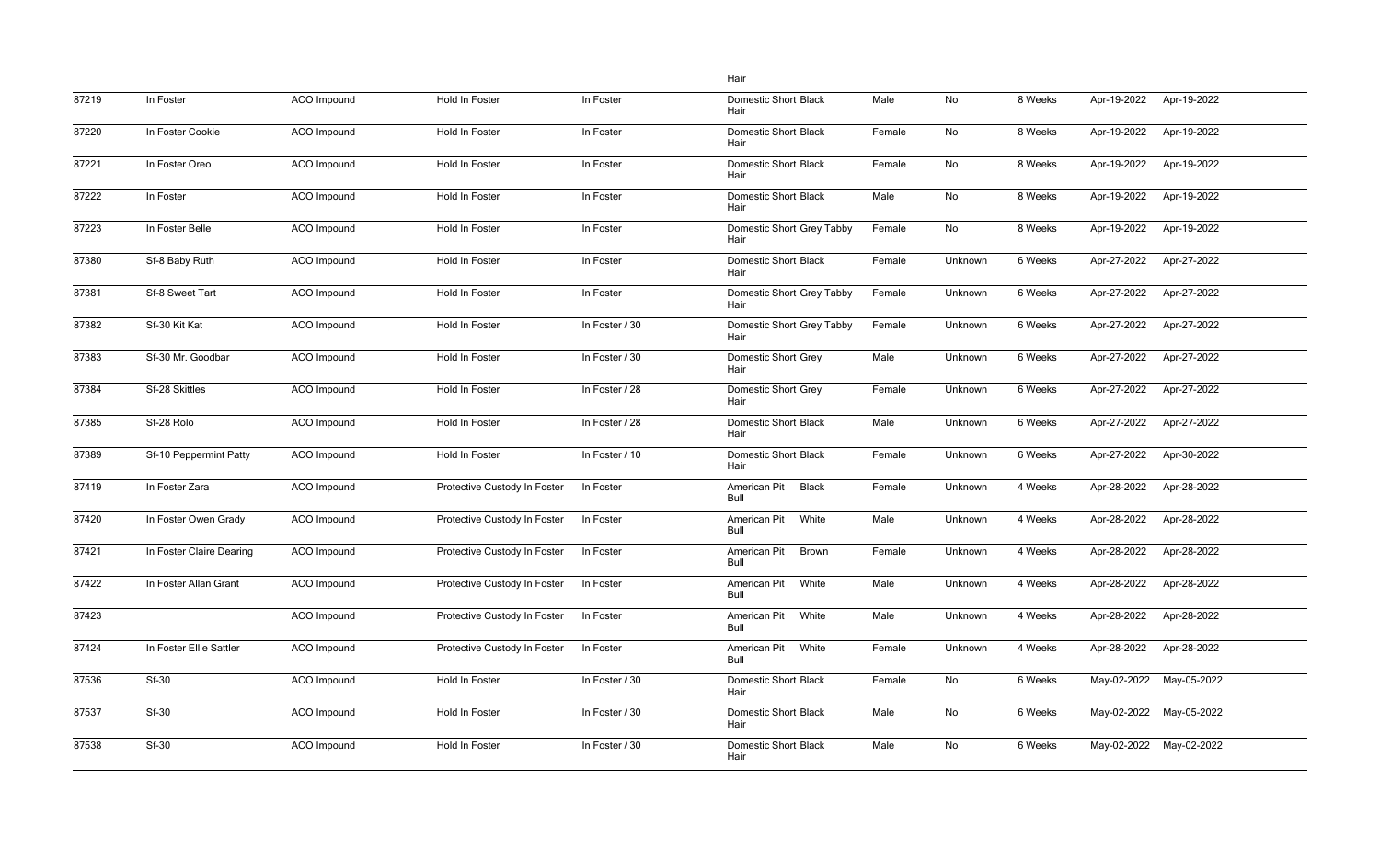|       |                          |                    |                              |                | Hair                                 |        |         |         |             |                         |
|-------|--------------------------|--------------------|------------------------------|----------------|--------------------------------------|--------|---------|---------|-------------|-------------------------|
| 87219 | In Foster                | ACO Impound        | Hold In Foster               | In Foster      | <b>Domestic Short Black</b><br>Hair  | Male   | No      | 8 Weeks | Apr-19-2022 | Apr-19-2022             |
| 87220 | In Foster Cookie         | <b>ACO</b> Impound | Hold In Foster               | In Foster      | <b>Domestic Short Black</b><br>Hair  | Female | No      | 8 Weeks | Apr-19-2022 | Apr-19-2022             |
| 87221 | In Foster Oreo           | ACO Impound        | Hold In Foster               | In Foster      | <b>Domestic Short Black</b><br>Hair  | Female | No      | 8 Weeks | Apr-19-2022 | Apr-19-2022             |
| 87222 | In Foster                | ACO Impound        | Hold In Foster               | In Foster      | <b>Domestic Short Black</b><br>Hair  | Male   | No      | 8 Weeks | Apr-19-2022 | Apr-19-2022             |
| 87223 | In Foster Belle          | <b>ACO</b> Impound | Hold In Foster               | In Foster      | Domestic Short Grey Tabby<br>Hair    | Female | No      | 8 Weeks | Apr-19-2022 | Apr-19-2022             |
| 87380 | Sf-8 Baby Ruth           | ACO Impound        | Hold In Foster               | In Foster      | <b>Domestic Short Black</b><br>Hair  | Female | Unknown | 6 Weeks | Apr-27-2022 | Apr-27-2022             |
| 87381 | Sf-8 Sweet Tart          | ACO Impound        | Hold In Foster               | In Foster      | Domestic Short Grey Tabby<br>Hair    | Female | Unknown | 6 Weeks | Apr-27-2022 | Apr-27-2022             |
| 87382 | Sf-30 Kit Kat            | <b>ACO</b> Impound | Hold In Foster               | In Foster / 30 | Domestic Short Grey Tabby<br>Hair    | Female | Unknown | 6 Weeks | Apr-27-2022 | Apr-27-2022             |
| 87383 | Sf-30 Mr. Goodbar        | <b>ACO</b> Impound | Hold In Foster               | In Foster / 30 | <b>Domestic Short Grey</b><br>Hair   | Male   | Unknown | 6 Weeks | Apr-27-2022 | Apr-27-2022             |
| 87384 | Sf-28 Skittles           | ACO Impound        | Hold In Foster               | In Foster / 28 | <b>Domestic Short Grey</b><br>Hair   | Female | Unknown | 6 Weeks | Apr-27-2022 | Apr-27-2022             |
| 87385 | Sf-28 Rolo               | <b>ACO</b> Impound | Hold In Foster               | In Foster / 28 | <b>Domestic Short Black</b><br>Hair  | Male   | Unknown | 6 Weeks | Apr-27-2022 | Apr-27-2022             |
| 87389 | Sf-10 Peppermint Patty   | <b>ACO</b> Impound | Hold In Foster               | In Foster / 10 | <b>Domestic Short Black</b><br>Hair  | Female | Unknown | 6 Weeks | Apr-27-2022 | Apr-30-2022             |
| 87419 | In Foster Zara           | ACO Impound        | Protective Custody In Foster | In Foster      | <b>Black</b><br>American Pit<br>Bull | Female | Unknown | 4 Weeks | Apr-28-2022 | Apr-28-2022             |
| 87420 | In Foster Owen Grady     | ACO Impound        | Protective Custody In Foster | In Foster      | White<br>American Pit<br>Bull        | Male   | Unknown | 4 Weeks | Apr-28-2022 | Apr-28-2022             |
| 87421 | In Foster Claire Dearing | <b>ACO</b> Impound | Protective Custody In Foster | In Foster      | American Pit<br><b>Brown</b><br>Bull | Female | Unknown | 4 Weeks | Apr-28-2022 | Apr-28-2022             |
| 87422 | In Foster Allan Grant    | ACO Impound        | Protective Custody In Foster | In Foster      | American Pit<br>White<br>Bull        | Male   | Unknown | 4 Weeks | Apr-28-2022 | Apr-28-2022             |
| 87423 |                          | ACO Impound        | Protective Custody In Foster | In Foster      | American Pit<br>White<br>Bull        | Male   | Unknown | 4 Weeks | Apr-28-2022 | Apr-28-2022             |
| 87424 | In Foster Ellie Sattler  | ACO Impound        | Protective Custody In Foster | In Foster      | American Pit<br>White<br>Bull        | Female | Unknown | 4 Weeks | Apr-28-2022 | Apr-28-2022             |
| 87536 | Sf-30                    | ACO Impound        | Hold In Foster               | In Foster / 30 | <b>Domestic Short Black</b><br>Hair  | Female | No      | 6 Weeks | May-02-2022 | May-05-2022             |
| 87537 | <b>Sf-30</b>             | ACO Impound        | Hold In Foster               | In Foster / 30 | <b>Domestic Short Black</b><br>Hair  | Male   | No      | 6 Weeks | May-02-2022 | May-05-2022             |
| 87538 | Sf-30                    | ACO Impound        | Hold In Foster               | In Foster / 30 | <b>Domestic Short Black</b><br>Hair  | Male   | No      | 6 Weeks |             | May-02-2022 May-02-2022 |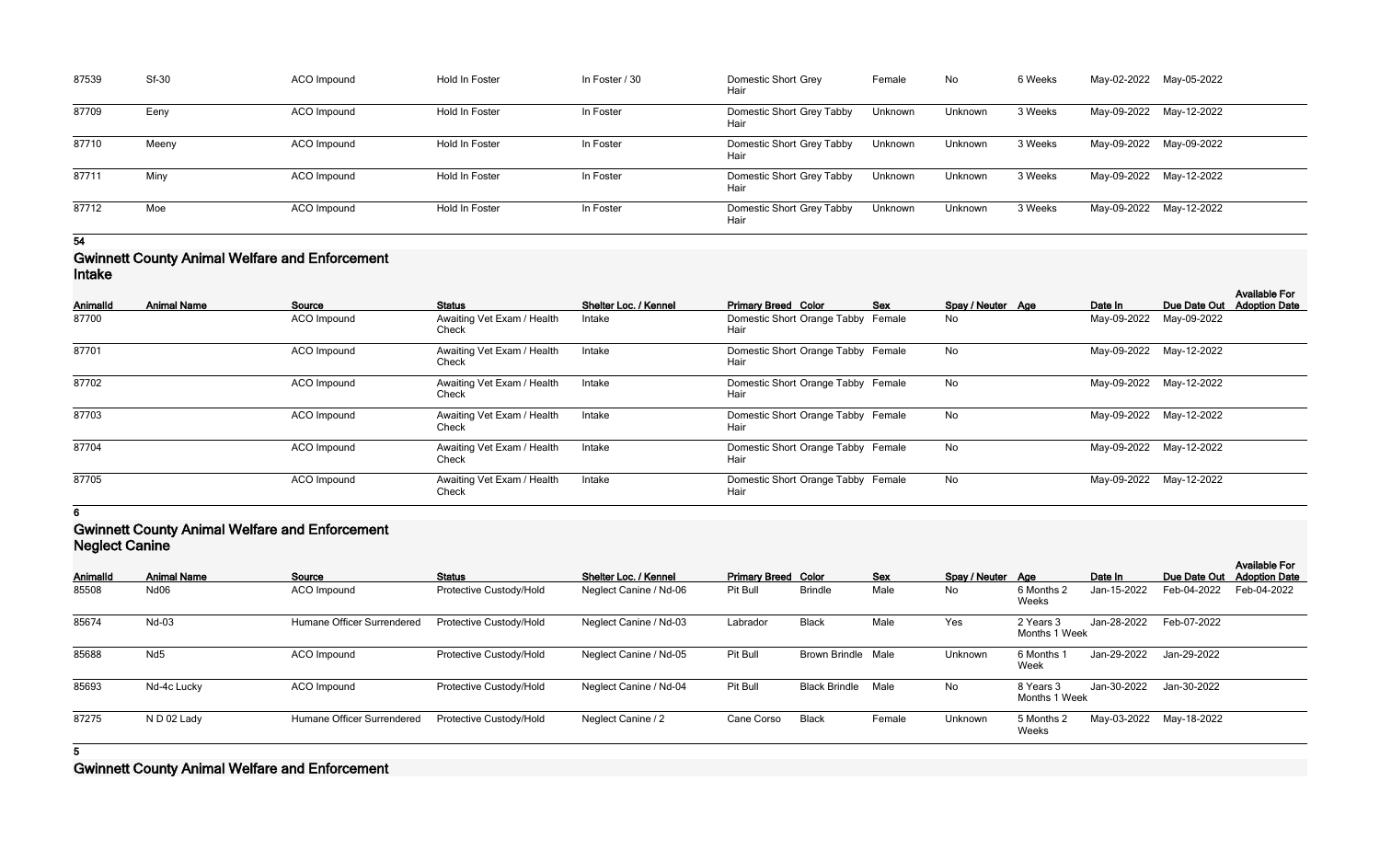| 87539 | <b>Sf-30</b> | ACO Impound | Hold In Foster | In Foster / 30 | <b>Domestic Short Grey</b><br>Hair | Female  | No      | 6 Weeks | May-02-2022 May-05-2022 |  |
|-------|--------------|-------------|----------------|----------------|------------------------------------|---------|---------|---------|-------------------------|--|
| 87709 | Eeny         | ACO Impound | Hold In Foster | In Foster      | Domestic Short Grey Tabby<br>Hair  | Unknown | Unknown | 3 Weeks | May-09-2022 May-12-2022 |  |
| 87710 | Meeny        | ACO Impound | Hold In Foster | In Foster      | Domestic Short Grey Tabby<br>Hair  | Unknown | Unknown | 3 Weeks | May-09-2022 May-09-2022 |  |
| 87711 | Miny         | ACO Impound | Hold In Foster | In Foster      | Domestic Short Grey Tabby<br>Hair  | Unknown | Unknown | 3 Weeks | May-09-2022 May-12-2022 |  |
| 87712 | Moe          | ACO Impound | Hold In Foster | In Foster      | Domestic Short Grey Tabby<br>Hair  | Unknown | Unknown | 3 Weeks | May-09-2022 May-12-2022 |  |

### **Gwinnett County Animal Welfare and Enforcement Intake**

| <b>AnimalId</b> | <b>Animal Name</b> | Source      | <b>Status</b>                       | <b>Shelter Loc. / Kennel</b> | <b>Primary Breed Color</b>                 | Sex | Spay / Neuter Age | Date In | Due Date Out            | <b>Available For</b><br><b>Adoption Date</b> |
|-----------------|--------------------|-------------|-------------------------------------|------------------------------|--------------------------------------------|-----|-------------------|---------|-------------------------|----------------------------------------------|
| 87700           |                    | ACO Impound | Awaiting Vet Exam / Health<br>Check | Intake                       | Domestic Short Orange Tabby Female<br>Hair |     | No                |         | May-09-2022 May-09-2022 |                                              |
| 87701           |                    | ACO Impound | Awaiting Vet Exam / Health<br>Check | Intake                       | Domestic Short Orange Tabby Female<br>Hair |     | No                |         | May-09-2022 May-12-2022 |                                              |
| 87702           |                    | ACO Impound | Awaiting Vet Exam / Health<br>Check | Intake                       | Domestic Short Orange Tabby Female<br>Hair |     | No                |         | May-09-2022 May-12-2022 |                                              |
| 87703           |                    | ACO Impound | Awaiting Vet Exam / Health<br>Check | Intake                       | Domestic Short Orange Tabby Female<br>Hair |     | No                |         | May-09-2022 May-12-2022 |                                              |
| 87704           |                    | ACO Impound | Awaiting Vet Exam / Health<br>Check | Intake                       | Domestic Short Orange Tabby Female<br>Hair |     | No                |         | May-09-2022 May-12-2022 |                                              |
| 87705           |                    | ACO Impound | Awaiting Vet Exam / Health<br>Check | Intake                       | Domestic Short Orange Tabby Female<br>Hair |     | No                |         | May-09-2022 May-12-2022 |                                              |

**6**

### **Gwinnett County Animal Welfare and Enforcement Neglect Canine**

| <b>INGYIGOL VALILIIG</b> |                                   |                         |                        |            |                      |                            |                           |                     |                   |                                |                                              |
|--------------------------|-----------------------------------|-------------------------|------------------------|------------|----------------------|----------------------------|---------------------------|---------------------|-------------------|--------------------------------|----------------------------------------------|
| <b>Animal Name</b>       | Source                            | <b>Status</b>           | Shelter Loc. / Kennel  |            |                      | <b>Sex</b>                 |                           |                     | Date In           | Due Date Out                   | <b>Available For</b><br><b>Adoption Date</b> |
| Nd <sub>06</sub>         | ACO Impound                       | Protective Custody/Hold | Neglect Canine / Nd-06 | Pit Bull   | <b>Brindle</b>       | Male                       | No                        | 6 Months 2<br>Weeks | Jan-15-2022       | Feb-04-2022                    | Feb-04-2022                                  |
| Nd-03                    | <b>Humane Officer Surrendered</b> | Protective Custody/Hold | Neglect Canine / Nd-03 | Labrador   | <b>Black</b>         | Male                       | Yes                       | 2 Years 3           | Jan-28-2022       | Feb-07-2022                    |                                              |
| Nd <sub>5</sub>          | <b>ACO</b> Impound                | Protective Custody/Hold | Neglect Canine / Nd-05 | Pit Bull   |                      |                            | Unknown                   | 6 Months<br>Week    | Jan-29-2022       | Jan-29-2022                    |                                              |
| Nd-4c Lucky              | ACO Impound                       | Protective Custody/Hold | Neglect Canine / Nd-04 | Pit Bull   | <b>Black Brindle</b> | Male                       | No                        | 8 Years 3           | Jan-30-2022       | Jan-30-2022                    |                                              |
| ND <sub>02</sub> Lady    | Humane Officer Surrendered        | Protective Custody/Hold | Neglect Canine / 2     | Cane Corso | <b>Black</b>         | Female                     | Unknown                   | 5 Months 2<br>Weeks |                   |                                |                                              |
|                          |                                   |                         |                        |            |                      | <b>Primary Breed Color</b> | <b>Brown Brindle Male</b> |                     | Spay / Neuter Age | Months 1 Week<br>Months 1 Week | May-03-2022 May-18-2022                      |

**5**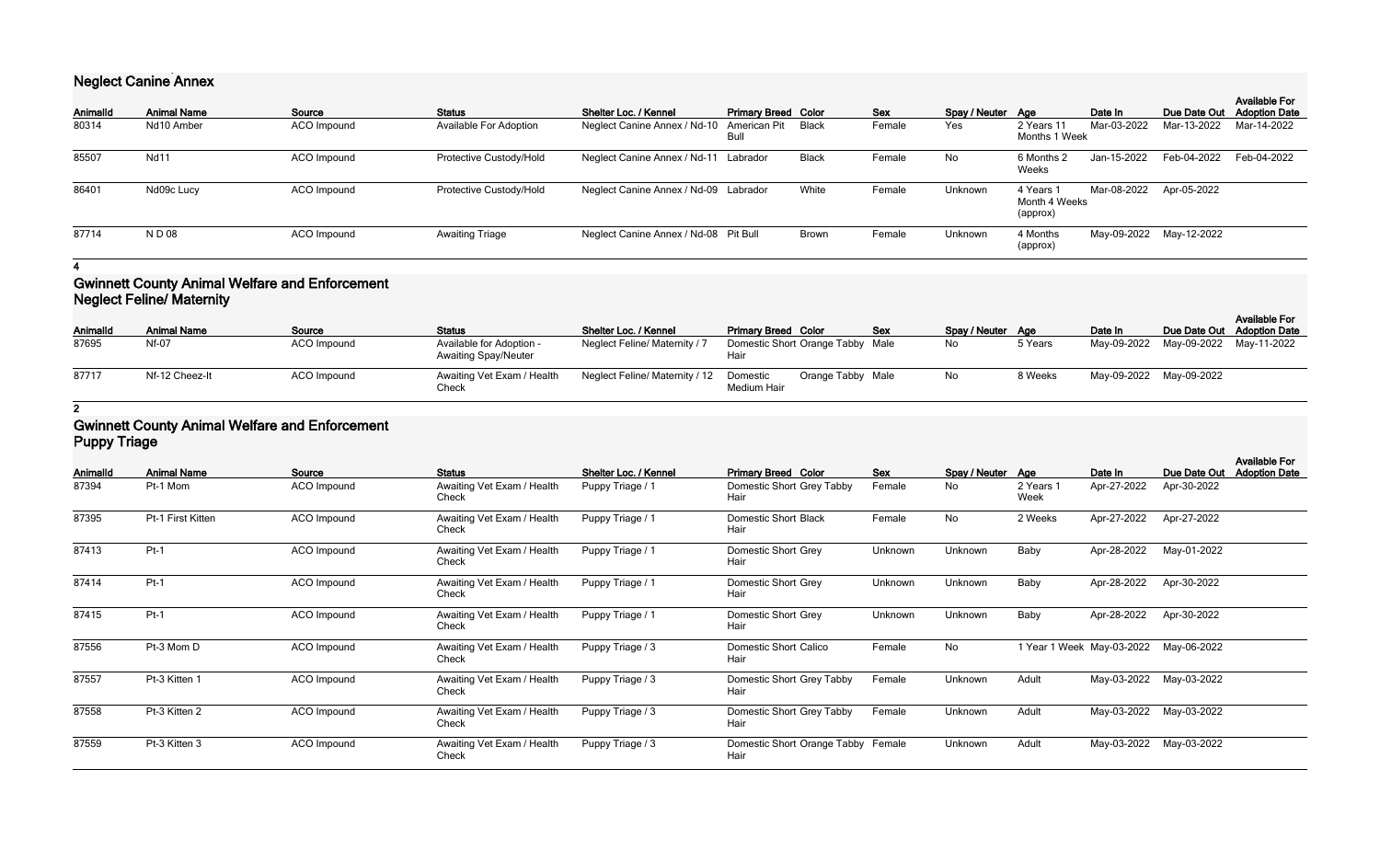# **Neglect Canine Annex**

| <b>AnimalId</b> | <b>Animal Name</b> | Source      | <b>Status</b>                 | Shelter Loc. / Kennel                           | <b>Primary Breed Color</b> |       | <b>Sex</b> | Spay / Neuter Age |                                        | Date In     | Due Date Out            | <b>Available For</b><br><b>Adoption Date</b> |
|-----------------|--------------------|-------------|-------------------------------|-------------------------------------------------|----------------------------|-------|------------|-------------------|----------------------------------------|-------------|-------------------------|----------------------------------------------|
| 80314           | Nd10 Amber         | ACO Impound | <b>Available For Adoption</b> | Neglect Canine Annex / Nd-10 American Pit Black | Bull                       |       | Female     | Yes               | 2 Years 11<br>Months 1 Week            | Mar-03-2022 | Mar-13-2022             | Mar-14-2022                                  |
| 85507           | <b>Nd11</b>        | ACO Impound | Protective Custody/Hold       | Neglect Canine Annex / Nd-11 Labrador           |                            | Black | Female     | No                | 6 Months 2<br>Weeks                    | Jan-15-2022 | Feb-04-2022             | Feb-04-2022                                  |
| 86401           | Nd09c Lucy         | ACO Impound | Protective Custody/Hold       | Neglect Canine Annex / Nd-09 Labrador           |                            | White | Female     | Unknown           | 4 Years 1<br>Month 4 Weeks<br>(approx) |             | Mar-08-2022 Apr-05-2022 |                                              |
| 87714           | N D 08             | ACO Impound | <b>Awaiting Triage</b>        | Neglect Canine Annex / Nd-08 Pit Bull           |                            | Brown | Female     | Unknown           | 4 Months<br>(approx)                   |             | May-09-2022 May-12-2022 |                                              |

**4**

### **Gwinnett County Animal Welfare and Enforcement Neglect Feline/ Maternity**

| AnimalId | <b>Animal Name</b> | Source             | <b>Status</b>                                           | Shelter Loc. / Kennel          | <b>Primary Breed Color</b>                   | Sex | Spay / Neuter Age |         | Date In                             | Due Date Out Adoption Date | <b>Available For</b> |
|----------|--------------------|--------------------|---------------------------------------------------------|--------------------------------|----------------------------------------------|-----|-------------------|---------|-------------------------------------|----------------------------|----------------------|
| 87695    | Nf-07              | <b>ACO</b> Impound | Available for Adoption -<br><b>Awaiting Spay/Neuter</b> | Neglect Feline/ Maternity /    | Domestic Short Orange Tabby Male<br>Hair     |     | No                | 5 Years | May-09-2022 May-09-2022 May-11-2022 |                            |                      |
| 87717    | Nf-12 Cheez-It     | <b>ACO</b> Impound | Awaiting Vet Exam / Health<br>Check                     | Neglect Feline/ Maternity / 12 | Orange Tabby Male<br>Domestic<br>Medium Hair |     | No                | 8 Weeks | May-09-2022 May-09-2022             |                            |                      |

# **2**

### **Gwinnett County Animal Welfare and Enforcement Puppy Triage**

| <b>AnimalId</b> | <b>Animal Name</b> | Source             | <b>Status</b>                       | Shelter Loc. / Kennel | <b>Primary Breed Color</b>                 | <b>Sex</b> | Spay / Neuter Age |                   | Date In                   | Due Date Out | <b>Available For</b><br><b>Adoption Date</b> |
|-----------------|--------------------|--------------------|-------------------------------------|-----------------------|--------------------------------------------|------------|-------------------|-------------------|---------------------------|--------------|----------------------------------------------|
| 87394           | Pt-1 Mom           | ACO Impound        | Awaiting Vet Exam / Health<br>Check | Puppy Triage / 1      | Domestic Short Grey Tabby<br>Hair          | Female     | <b>No</b>         | 2 Years 1<br>Week | Apr-27-2022               | Apr-30-2022  |                                              |
| 87395           | Pt-1 First Kitten  | <b>ACO</b> Impound | Awaiting Vet Exam / Health<br>Check | Puppy Triage / 1      | <b>Domestic Short Black</b><br>Hair        | Female     | No                | 2 Weeks           | Apr-27-2022               | Apr-27-2022  |                                              |
| 87413           | $Pt-1$             | ACO Impound        | Awaiting Vet Exam / Health<br>Check | Puppy Triage / 1      | <b>Domestic Short Grey</b><br>Hair         | Unknown    | Unknown           | Baby              | Apr-28-2022               | May-01-2022  |                                              |
| 87414           | $Pt-1$             | ACO Impound        | Awaiting Vet Exam / Health<br>Check | Puppy Triage / 1      | Domestic Short Grey<br>Hair                | Unknown    | Unknown           | Baby              | Apr-28-2022               | Apr-30-2022  |                                              |
| 87415           | $Pt-1$             | ACO Impound        | Awaiting Vet Exam / Health<br>Check | Puppy Triage / 1      | Domestic Short Grey<br>Hair                | Unknown    | Unknown           | Baby              | Apr-28-2022               | Apr-30-2022  |                                              |
| 87556           | Pt-3 Mom D         | <b>ACO</b> Impound | Awaiting Vet Exam / Health<br>Check | Puppy Triage / 3      | Domestic Short Calico<br>Hair              | Female     | No                |                   | 1 Year 1 Week May-03-2022 | May-06-2022  |                                              |
| 87557           | Pt-3 Kitten 1      | ACO Impound        | Awaiting Vet Exam / Health<br>Check | Puppy Triage / 3      | Domestic Short Grey Tabby<br>Hair          | Female     | Unknown           | Adult             | May-03-2022               | May-03-2022  |                                              |
| 87558           | Pt-3 Kitten 2      | ACO Impound        | Awaiting Vet Exam / Health<br>Check | Puppy Triage / 3      | Domestic Short Grey Tabby<br>Hair          | Female     | Unknown           | Adult             | May-03-2022               | May-03-2022  |                                              |
| 87559           | Pt-3 Kitten 3      | ACO Impound        | Awaiting Vet Exam / Health<br>Check | Puppy Triage / 3      | Domestic Short Orange Tabby Female<br>Hair |            | Unknown           | Adult             | May-03-2022               | May-03-2022  |                                              |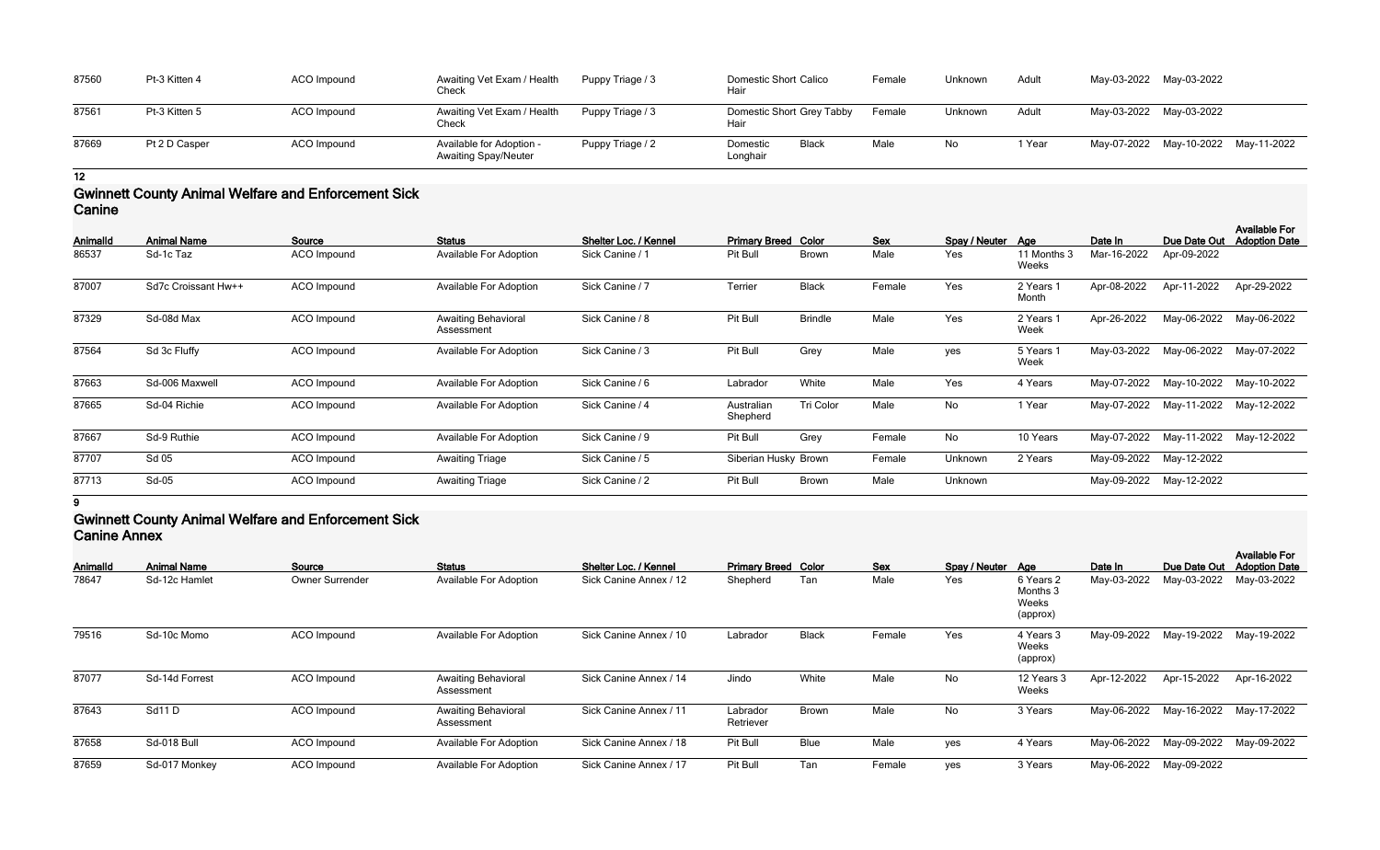| 87560 | Pt-3 Kitten 4 | ACO Impound | Awaiting Vet Exam / Health<br>Check                     | Puppy Triage / 3 | Domestic Short Calico<br>Hair     |       | Female | Unknown | Adult  | May-03-2022 May-03-2022 |                                     |  |
|-------|---------------|-------------|---------------------------------------------------------|------------------|-----------------------------------|-------|--------|---------|--------|-------------------------|-------------------------------------|--|
| 87561 | Pt-3 Kitten 5 | ACO Impound | Awaiting Vet Exam / Health<br>Check                     | Puppy Triage / 3 | Domestic Short Grey Tabby<br>Hair |       | Female | Unknown | Adult  | May-03-2022 May-03-2022 |                                     |  |
| 87669 | Pt 2 D Casper | ACO Impound | Available for Adoption -<br><b>Awaiting Spay/Neuter</b> | Puppy Triage / 2 | Domestic<br>Longhair              | Black | Male   | No      | 1 Year |                         | May-07-2022 May-10-2022 May-11-2022 |  |

### **Gwinnett County Animal Welfare and Enforcement Sick Canine**

| Animalld | <b>Animal Name</b>  | Source             | <b>Status</b>                            | Shelter Loc. / Kennel | <b>Primary Breed Color</b> |                | Sex    | Spay / Neuter | Aae                  | Date In     | Due Date Out | <b>Available For</b><br><b>Adoption Date</b> |
|----------|---------------------|--------------------|------------------------------------------|-----------------------|----------------------------|----------------|--------|---------------|----------------------|-------------|--------------|----------------------------------------------|
| 86537    | Sd-1c Taz           | ACO Impound        | <b>Available For Adoption</b>            | Sick Canine / 1       | Pit Bull                   | <b>Brown</b>   | Male   | Yes           | 11 Months 3<br>Weeks | Mar-16-2022 | Apr-09-2022  |                                              |
| 87007    | Sd7c Croissant Hw++ | ACO Impound        | <b>Available For Adoption</b>            | Sick Canine / 7       | Terrier                    | <b>Black</b>   | Female | Yes           | 2 Years 1<br>Month   | Apr-08-2022 | Apr-11-2022  | Apr-29-2022                                  |
| 87329    | Sd-08d Max          | <b>ACO</b> Impound | <b>Awaiting Behavioral</b><br>Assessment | Sick Canine / 8       | Pit Bull                   | <b>Brindle</b> | Male   | Yes           | 2 Years 1<br>Week    | Apr-26-2022 | May-06-2022  | May-06-2022                                  |
| 87564    | Sd 3c Fluffy        | <b>ACO</b> Impound | <b>Available For Adoption</b>            | Sick Canine / 3       | Pit Bull                   | Grey           | Male   | yes           | 5 Years 1<br>Week    | May-03-2022 | May-06-2022  | May-07-2022                                  |
| 87663    | Sd-006 Maxwell      | <b>ACO</b> Impound | Available For Adoption                   | Sick Canine / 6       | Labrador                   | White          | Male   | Yes           | 4 Years              | May-07-2022 | May-10-2022  | May-10-2022                                  |
| 87665    | Sd-04 Richie        | <b>ACO</b> Impound | Available For Adoption                   | Sick Canine / 4       | Australian<br>Shepherd     | Tri Color      | Male   | No            | 1 Year               | May-07-2022 | May-11-2022  | May-12-2022                                  |
| 87667    | Sd-9 Ruthie         | <b>ACO</b> Impound | <b>Available For Adoption</b>            | Sick Canine / 9       | Pit Bull                   | Grey           | Female | No            | 10 Years             | May-07-2022 | May-11-2022  | May-12-2022                                  |
| 87707    | Sd 05               | ACO Impound        | <b>Awaiting Triage</b>                   | Sick Canine / 5       | Siberian Husky Brown       |                | Female | Unknown       | 2 Years              | May-09-2022 | May-12-2022  |                                              |
| 87713    | Sd-05               | ACO Impound        | <b>Awaiting Triage</b>                   | Sick Canine / 2       | Pit Bull                   | <b>Brown</b>   | Male   | Unknown       |                      | May-09-2022 | May-12-2022  |                                              |

#### **9**

### **Gwinnett County Animal Welfare and Enforcement Sick Canine Annex**

| -------- <i>--</i> -------- |                    |                        |                                          |                        |                            |              |            |                   |                                            |             |                         |                                              |
|-----------------------------|--------------------|------------------------|------------------------------------------|------------------------|----------------------------|--------------|------------|-------------------|--------------------------------------------|-------------|-------------------------|----------------------------------------------|
| Animalld                    | <b>Animal Name</b> | Source                 | <b>Status</b>                            | Shelter Loc. / Kennel  | <b>Primary Breed Color</b> |              | <b>Sex</b> | Spay / Neuter Age |                                            | Date In     | Due Date Out            | <b>Available For</b><br><b>Adoption Date</b> |
| 78647                       | Sd-12c Hamlet      | <b>Owner Surrender</b> | <b>Available For Adoption</b>            | Sick Canine Annex / 12 | Shepherd                   | Tan          | Male       | Yes               | 6 Years 2<br>Months 3<br>Weeks<br>(approx) | May-03-2022 | May-03-2022             | May-03-2022                                  |
| 79516                       | Sd-10c Momo        | ACO Impound            | <b>Available For Adoption</b>            | Sick Canine Annex / 10 | Labrador                   | <b>Black</b> | Female     | Yes               | 4 Years 3<br>Weeks<br>(approx)             | May-09-2022 | May-19-2022             | May-19-2022                                  |
| 87077                       | Sd-14d Forrest     | ACO Impound            | <b>Awaiting Behavioral</b><br>Assessment | Sick Canine Annex / 14 | Jindo                      | White        | Male       | No                | 12 Years 3<br>Weeks                        | Apr-12-2022 | Apr-15-2022             | Apr-16-2022                                  |
| 87643                       | Sd11D              | ACO Impound            | <b>Awaiting Behavioral</b><br>Assessment | Sick Canine Annex / 11 | Labrador<br>Retriever      | <b>Brown</b> | Male       | No                | 3 Years                                    | May-06-2022 | May-16-2022             | May-17-2022                                  |
| 87658                       | Sd-018 Bull        | ACO Impound            | <b>Available For Adoption</b>            | Sick Canine Annex / 18 | Pit Bull                   | <b>Blue</b>  | Male       | yes               | 4 Years                                    |             | May-06-2022 May-09-2022 | May-09-2022                                  |
| 87659                       | Sd-017 Monkey      | ACO Impound            | <b>Available For Adoption</b>            | Sick Canine Annex / 17 | Pit Bull                   | Tan          | Female     | yes               | 3 Years                                    |             | May-06-2022 May-09-2022 |                                              |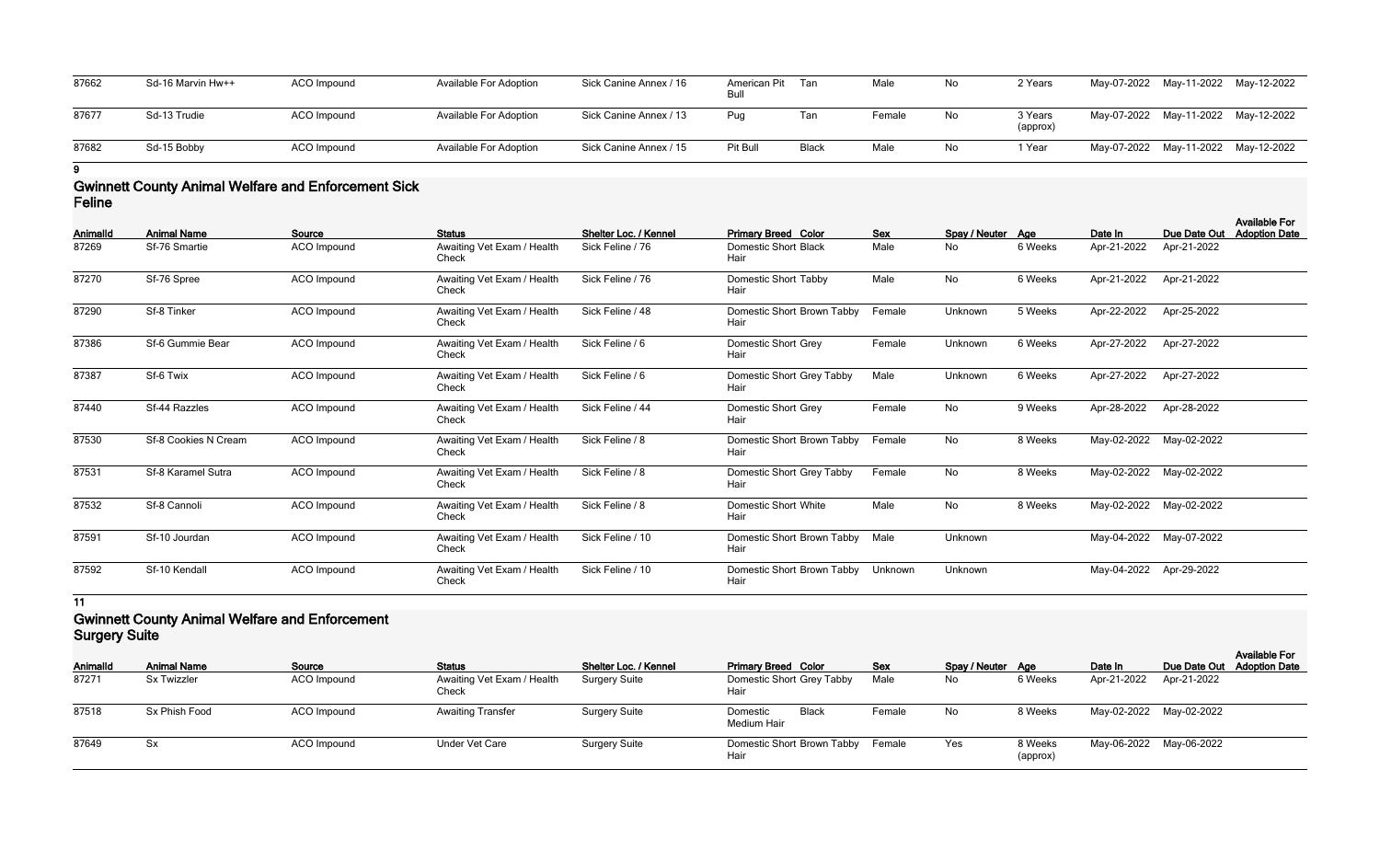| 87662 | Sd-16 Marvin Hw++ | ACO Impound | Available For Adoption        | Sick Canine Annex / 16 | American Pit<br>Bull | Tan          | Male   | No  | 2 Years             |  | May-07-2022 May-11-2022 May-12-2022 |
|-------|-------------------|-------------|-------------------------------|------------------------|----------------------|--------------|--------|-----|---------------------|--|-------------------------------------|
| 87677 | Sd-13 Trudie      | ACO Impound | <b>Available For Adoption</b> | Sick Canine Annex / 13 | Pug                  | Tan          | Female | No. | 3 Years<br>(approx) |  | May-07-2022 May-11-2022 May-12-2022 |
| 87682 | Sd-15 Bobby       | ACO Impound | Available For Adoption        | Sick Canine Annex / 15 | Pit Bull             | <b>Black</b> | Male   | No  | 1 Year              |  | May-07-2022 May-11-2022 May-12-2022 |

### **Gwinnett County Animal Welfare and Enforcement Sick Feline**

| Animalld | <b>Animal Name</b>   | Source             | <b>Status</b>                       | Shelter Loc. / Kennel | <b>Primary Breed Color</b>          | <b>Sex</b> | Spay / Neuter Age |         | Date In     | Due Date Out | <b>Available For</b><br><b>Adoption Date</b> |
|----------|----------------------|--------------------|-------------------------------------|-----------------------|-------------------------------------|------------|-------------------|---------|-------------|--------------|----------------------------------------------|
| 87269    | Sf-76 Smartie        | ACO Impound        | Awaiting Vet Exam / Health<br>Check | Sick Feline / 76      | Domestic Short Black<br>Hair        | Male       | No                | 6 Weeks | Apr-21-2022 | Apr-21-2022  |                                              |
| 87270    | Sf-76 Spree          | <b>ACO</b> Impound | Awaiting Vet Exam / Health<br>Check | Sick Feline / 76      | Domestic Short Tabby<br>Hair        | Male       | No                | 6 Weeks | Apr-21-2022 | Apr-21-2022  |                                              |
| 87290    | Sf-8 Tinker          | <b>ACO</b> Impound | Awaiting Vet Exam / Health<br>Check | Sick Feline / 48      | Domestic Short Brown Tabby<br>Hair  | Female     | Unknown           | 5 Weeks | Apr-22-2022 | Apr-25-2022  |                                              |
| 87386    | Sf-6 Gummie Bear     | <b>ACO</b> Impound | Awaiting Vet Exam / Health<br>Check | Sick Feline / 6       | <b>Domestic Short Grey</b><br>Hair  | Female     | Unknown           | 6 Weeks | Apr-27-2022 | Apr-27-2022  |                                              |
| 87387    | Sf-6 Twix            | ACO Impound        | Awaiting Vet Exam / Health<br>Check | Sick Feline / 6       | Domestic Short Grey Tabby<br>Hair   | Male       | Unknown           | 6 Weeks | Apr-27-2022 | Apr-27-2022  |                                              |
| 87440    | Sf-44 Razzles        | <b>ACO</b> Impound | Awaiting Vet Exam / Health<br>Check | Sick Feline / 44      | Domestic Short Grey<br>Hair         | Female     | No                | 9 Weeks | Apr-28-2022 | Apr-28-2022  |                                              |
| 87530    | Sf-8 Cookies N Cream | <b>ACO</b> Impound | Awaiting Vet Exam / Health<br>Check | Sick Feline / 8       | Domestic Short Brown Tabby<br>Hair  | Female     | No                | 8 Weeks | May-02-2022 | May-02-2022  |                                              |
| 87531    | Sf-8 Karamel Sutra   | <b>ACO</b> Impound | Awaiting Vet Exam / Health<br>Check | Sick Feline / 8       | Domestic Short Grey Tabby<br>Hair   | Female     | No                | 8 Weeks | May-02-2022 | May-02-2022  |                                              |
| 87532    | Sf-8 Cannoli         | ACO Impound        | Awaiting Vet Exam / Health<br>Check | Sick Feline / 8       | <b>Domestic Short White</b><br>Hair | Male       | No                | 8 Weeks | May-02-2022 | May-02-2022  |                                              |
| 87591    | Sf-10 Jourdan        | <b>ACO</b> Impound | Awaiting Vet Exam / Health<br>Check | Sick Feline / 10      | Domestic Short Brown Tabby<br>Hair  | Male       | Unknown           |         | May-04-2022 | May-07-2022  |                                              |
| 87592    | Sf-10 Kendall        | <b>ACO</b> Impound | Awaiting Vet Exam / Health<br>Check | Sick Feline / 10      | Domestic Short Brown Tabby<br>Hair  | Unknown    | Unknown           |         | May-04-2022 | Apr-29-2022  |                                              |

**11**

### **Gwinnett County Animal Welfare and Enforcement Surgery Suite**

|                 | <b>Ourgery Ounc</b> |             |                                     |                              |                                           |            |                   |                     |                         |                            |                      |  |
|-----------------|---------------------|-------------|-------------------------------------|------------------------------|-------------------------------------------|------------|-------------------|---------------------|-------------------------|----------------------------|----------------------|--|
| <b>AnimalId</b> | <b>Animal Name</b>  | Source      | <b>Status</b>                       | <b>Shelter Loc. / Kennel</b> | <b>Primary Breed Color</b>                | <b>Sex</b> | Spay / Neuter Age |                     | Date In                 | Due Date Out Adoption Date | <b>Available For</b> |  |
| 87271           | <b>Sx Twizzler</b>  | ACO Impound | Awaiting Vet Exam / Health<br>Check | <b>Surgery Suite</b>         | Domestic Short Grey Tabby<br>Hair         | Male       | No                | 6 Weeks             | Apr-21-2022             | Apr-21-2022                |                      |  |
| 87518           | Sx Phish Food       | ACO Impound | <b>Awaiting Transfer</b>            | <b>Surgery Suite</b>         | <b>Black</b><br>Domestic<br>Medium Hair   | Female     | No                | 8 Weeks             | May-02-2022 May-02-2022 |                            |                      |  |
| 87649           | Sx                  | ACO Impound | Under Vet Care                      | <b>Surgery Suite</b>         | Domestic Short Brown Tabby Female<br>Hair |            | Yes               | 8 Weeks<br>(approx) | May-06-2022 May-06-2022 |                            |                      |  |